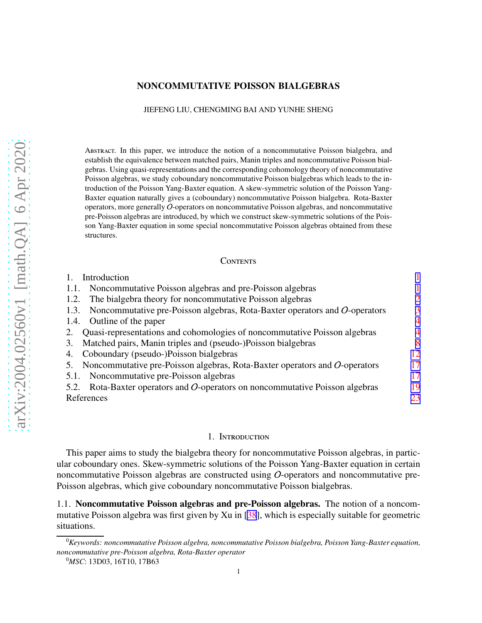## <span id="page-0-0"></span>NONCOMMUTATIVE POISSON BIALGEBRAS

#### JIEFENG LIU, CHENGMING BAI AND YUNHE SHENG

Abstract. In this paper, we introduce the notion of a noncommutative Poisson bialgebra, and establish the equivalence between matched pairs, Manin triples and noncommutative Poisson bialgebras. Using quasi-representations and the corresponding cohomology theory of noncommutative Poisson algebras, we study coboundary noncommutative Poisson bialgebras which leads to the introduction of the Poisson Yang-Baxter equation. A skew-symmetric solution of the Poisson Yang-Baxter equation naturally gives a (coboundary) noncommutative Poisson bialgebra. Rota-Baxter operators, more generally O-operators on noncommutative Poisson algebras, and noncommutative pre-Poisson algebras are introduced, by which we construct skew-symmetric solutions of the Poisson Yang-Baxter equation in some special noncommutative Poisson algebras obtained from these structures.

#### **CONTENTS**

| Introduction                                                                                     |                |
|--------------------------------------------------------------------------------------------------|----------------|
| Noncommutative Poisson algebras and pre-Poisson algebras<br>1.1.                                 |                |
| The bialgebra theory for noncommutative Poisson algebras<br>1.2.                                 | $\overline{2}$ |
| Noncommutative pre-Poisson algebras, Rota-Baxter operators and $O$ -operators<br>1.3.            | 3              |
| 1.4. Outline of the paper                                                                        | $\overline{4}$ |
| Quasi-representations and cohomologies of noncommutative Poisson algebras<br>2.                  | 4              |
| Matched pairs, Manin triples and (pseudo-)Poisson bialgebras<br>3.                               | 8              |
| Coboundary (pseudo-)Poisson bialgebras<br>4.                                                     | 12             |
| Noncommutative pre-Poisson algebras, Rota-Baxter operators and $O$ -operators<br>$\mathcal{L}$ . | 17             |
| Noncommutative pre-Poisson algebras<br>5.1.                                                      | 17             |
| 5.2. Rota-Baxter operators and O-operators on noncommutative Poisson algebras                    | 19             |
| References                                                                                       | 23             |

# 1. Introduction

This paper aims to study the bialgebra theory for noncommutative Poisson algebras, in particular coboundary ones. Skew-symmetric solutions of the Poisson Yang-Baxter equation in certain noncommutative Poisson algebras are constructed using O-operators and noncommutative pre-Poisson algebras, which give coboundary noncommutative Poisson bialgebras.

1.1. Noncommutative Poisson algebras and pre-Poisson algebras. The notion of a noncommutative Poisson algebra was first given by Xu in [\[38](#page-23-0)], which is especially suitable for geometric situations.

<sup>0</sup>*Keywords: noncommutative Poisson algebra, noncommutative Poisson bialgebra, Poisson Yang-Baxter equation, noncommutative pre-Poisson algebra, Rota-Baxter operator*

<sup>0</sup>*MSC*: 13D03, 16T10, 17B63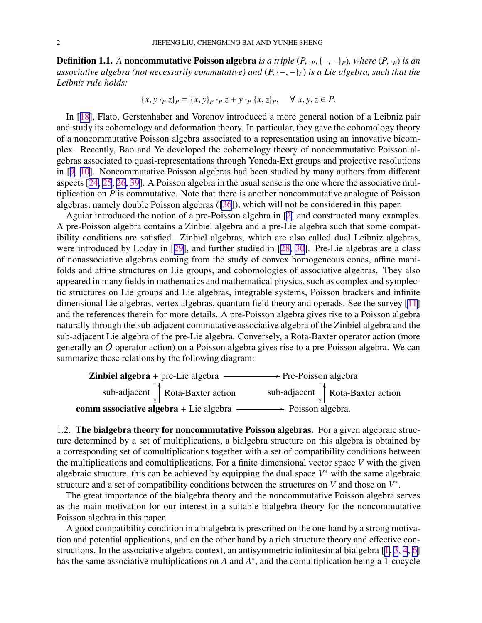<span id="page-1-0"></span>Definition 1.1. *A* noncommutative Poisson algebra *is a triple* (*P*, ·*P*, {−, −}*P*)*, where* (*P*, ·*P*) *is an associative algebra (not necessarily commutative) and* (*P*, {−, −}*P*) *is a Lie algebra, such that the Leibniz rule holds:*

$$
\{x, y \cdot_P z\}_P = \{x, y\}_P \cdot_P z + y \cdot_P \{x, z\}_P, \quad \forall x, y, z \in P.
$$

In [[18\]](#page-22-0), Flato, Gerstenhaber and Voronov introduced a more general notion of a Leibniz pair and study its cohomology and deformation theory. In particular, they gave the cohomology theory of a noncommutative Poisson algebra associated to a representation using an innovative bicomplex. Recently, Bao and Ye developed the cohomology theory of noncommutative Poisson algebras associated to quasi-representations through Yoneda-Ext groups and projective resolutions in [[9,](#page-22-0) [10\]](#page-22-0). Noncommutative Poisson algebras had been studied by many authors from different aspects [[24,](#page-22-0) [25](#page-23-0), [26,](#page-23-0) [39](#page-23-0)]. A Poisson algebra in the usual sense is the one where the associative multiplication on *P* is commutative. Note that there is another noncommutative analogue of Poisson algebras, namely double Poisson algebras ([\[36](#page-23-0)]), which will not be considered in this paper.

Aguiar introduced the notion of a pre-Poisson algebra in [[2\]](#page-22-0) and constructed many examples. A pre-Poisson algebra contains a Zinbiel algebra and a pre-Lie algebra such that some compatibility conditions are satisfied. Zinbiel algebras, which are also called dual Leibniz algebras, were introduced by Loday in [[29\]](#page-23-0), and further studied in [[28,](#page-23-0) [30](#page-23-0)]. Pre-Lie algebras are a class of nonassociative algebras coming from the study of convex homogeneous cones, affine manifolds and affine structures on Lie groups, and cohomologies of associative algebras. They also appeared in many fields in mathematics and mathematical physics, such as complex and symplectic structures on Lie groups and Lie algebras, integrable systems, Poisson brackets and infinite dimensional Lie algebras, vertex algebras, quantum field theory and operads. See the survey [\[11](#page-22-0)] and the references therein for more details. A pre-Poisson algebra gives rise to a Poisson algebra naturally through the sub-adjacent commutative associative algebra of the Zinbiel algebra and the sub-adjacent Lie algebra of the pre-Lie algebra. Conversely, a Rota-Baxter operator action (more generally an O-operator action) on a Poisson algebra gives rise to a pre-Poisson algebra. We can summarize these relations by the following diagram:



1.2. The bialgebra theory for noncommutative Poisson algebras. For a given algebraic structure determined by a set of multiplications, a bialgebra structure on this algebra is obtained by a corresponding set of comultiplications together with a set of compatibility conditions between the multiplications and comultiplications. For a finite dimensional vector space *V* with the given algebraic structure, this can be achieved by equipping the dual space  $V^*$  with the same algebraic structure and a set of compatibility conditions between the structures on *V* and those on  $V^*$ .

The great importance of the bialgebra theory and the noncommutative Poisson algebra serves as the main motivation for our interest in a suitable bialgebra theory for the noncommutative Poisson algebra in this paper.

A good compatibility condition in a bialgebra is prescribed on the one hand by a strong motivation and potential applications, and on the other hand by a rich structure theory and effective constructions. In the associative algebra context, an antisymmetric infinitesimal bialgebra [[1,](#page-22-0) [3](#page-22-0), [4](#page-22-0), [6](#page-22-0)] has the same associative multiplications on *A* and *A*<sup>\*</sup>, and the comultiplication being a 1-cocycle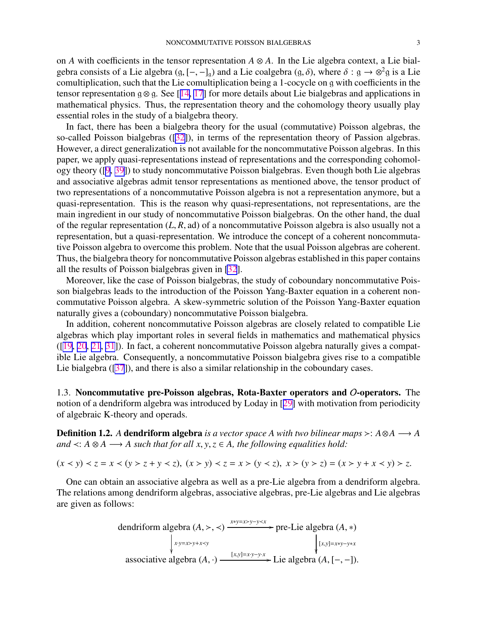<span id="page-2-0"></span>on *A* with coefficients in the tensor representation  $A \otimes A$ . In the Lie algebra context, a Lie bialgebra consists of a Lie algebra  $(g, [-,-]_g)$  and a Lie coalgebra  $(g, \delta)$ , where  $\delta : g \to \otimes^2 g$  is a Lie comultiplication, such that the Lie comultiplication being a 1-cocycle on g with coefficients in the tensor representation g  $\otimes$  g. See [[14,](#page-22-0) [17](#page-22-0)] for more details about Lie bialgebras and applications in mathematical physics. Thus, the representation theory and the cohomology theory usually play essential roles in the study of a bialgebra theory.

In fact, there has been a bialgebra theory for the usual (commutative) Poisson algebras, the so-called Poisson bialgebras ([[32\]](#page-23-0)), in terms of the representation theory of Passion algebras. However, a direct generalization is not available for the noncommutative Poisson algebras. In this paper, we apply quasi-representations instead of representations and the corresponding cohomology theory ([\[9](#page-22-0), [39\]](#page-23-0)) to study noncommutative Poisson bialgebras. Even though both Lie algebras and associative algebras admit tensor representations as mentioned above, the tensor product of two representations of a noncommutative Poisson algebra is not a representation anymore, but a quasi-representation. This is the reason why quasi-representations, not representations, are the main ingredient in our study of noncommutative Poisson bialgebras. On the other hand, the dual of the regular representation (*L*, *R*, ad) of a noncommutative Poisson algebra is also usually not a representation, but a quasi-representation. We introduce the concept of a coherent noncommutative Poisson algebra to overcome this problem. Note that the usual Poisson algebras are coherent. Thus, the bialgebra theory for noncommutative Poisson algebras established in this paper contains all the results of Poisson bialgebras given in [\[32](#page-23-0)].

Moreover, like the case of Poisson bialgebras, the study of coboundary noncommutative Poisson bialgebras leads to the introduction of the Poisson Yang-Baxter equation in a coherent noncommutative Poisson algebra. A skew-symmetric solution of the Poisson Yang-Baxter equation naturally gives a (coboundary) noncommutative Poisson bialgebra.

In addition, coherent noncommutative Poisson algebras are closely related to compatible Lie algebras which play important roles in several fields in mathematics and mathematical physics ([[19,](#page-22-0) [20](#page-22-0), [21](#page-22-0), [31](#page-23-0)]). In fact, a coherent noncommutative Poisson algebra naturally gives a compatible Lie algebra. Consequently, a noncommutative Poisson bialgebra gives rise to a compatible Lie bialgebra ([\[37](#page-23-0)]), and there is also a similar relationship in the coboundary cases.

1.3. Noncommutative pre-Poisson algebras, Rota-Baxter operators and O-operators. The notion of a dendriform algebra was introduced by Loday in [[29\]](#page-23-0) with motivation from periodicity of algebraic K-theory and operads.

Definition 1.2. *A* dendriform algebra *is a vector space A with two bilinear maps* ≻: *A*⊗*A* −→ *A and*  $\prec$ : *A* ⊗ *A* → *A such that for all x, y, z* ∈ *A, the following equalities hold:* 

 $(x < y) < z = x < (y > z + y < z), (x > y) < z = x > (y < z), x > (y > z) = (x > y + x < y) > z.$ 

One can obtain an associative algebra as well as a pre-Lie algebra from a dendriform algebra. The relations among dendriform algebras, associative algebras, pre-Lie algebras and Lie algebras are given as follows:

$$
\text{dendriform algebra } (A, \gt, \lt) \xrightarrow{x*y=x>y-y\times x} \text{pre-Lie algebra } (A, *)
$$
\n
$$
\downarrow x \text{y=x\times y+x\times y} \qquad \qquad \downarrow [x,y] = x*y-y*x
$$
\n
$$
\text{associative algebra } (A, \cdot) \xrightarrow{[x,y] = xy-y \cdot x} \text{Lie algebra } (A, [-, -]).
$$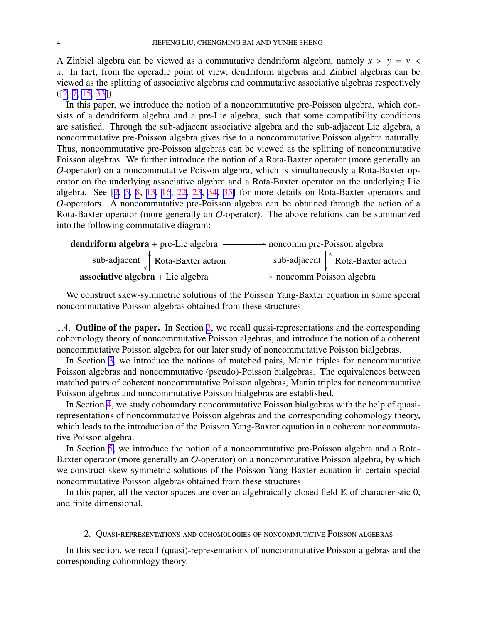<span id="page-3-0"></span>A Zinbiel algebra can be viewed as a commutative dendriform algebra, namely  $x > y = y$ *x*. In fact, from the operadic point of view, dendriform algebras and Zinbiel algebras can be viewed as the splitting of associative algebras and commutative associative algebras respectively ([[2,](#page-22-0) [7,](#page-22-0) [15,](#page-22-0) [33\]](#page-23-0)).

In this paper, we introduce the notion of a noncommutative pre-Poisson algebra, which consists of a dendriform algebra and a pre-Lie algebra, such that some compatibility conditions are satisfied. Through the sub-adjacent associative algebra and the sub-adjacent Lie algebra, a noncommutative pre-Poisson algebra gives rise to a noncommutative Poisson algebra naturally. Thus, noncommutative pre-Poisson algebras can be viewed as the splitting of noncommutative Poisson algebras. We further introduce the notion of a Rota-Baxter operator (more generally an O-operator) on a noncommutative Poisson algebra, which is simultaneously a Rota-Baxter operator on the underlying associative algebra and a Rota-Baxter operator on the underlying Lie algebra. See [[2,](#page-22-0) [5](#page-22-0), [8,](#page-22-0) [13,](#page-22-0) [16](#page-22-0), [22,](#page-22-0) [23](#page-22-0), [34](#page-23-0), [35\]](#page-23-0) for more details on Rota-Baxter operators and O-operators. A noncommutative pre-Poisson algebra can be obtained through the action of a Rota-Baxter operator (more generally an O-operator). The above relations can be summarized into the following commutative diagram:

| <b>dendriform algebra</b> + pre-Lie algebra $\longrightarrow$ noncomm pre-Poisson algebra |                                                    |
|-------------------------------------------------------------------------------------------|----------------------------------------------------|
| sub-adjacent $\int$ Rota-Baxter action                                                    | sub-adjacent $\int \int \text{Rota-Baster action}$ |
| <b>associative algebra</b> $+$ Lie algebra                                                | $\rightarrow$ noncomm Poisson algebra              |

We construct skew-symmetric solutions of the Poisson Yang-Baxter equation in some special noncommutative Poisson algebras obtained from these structures.

1.4. Outline of the paper. In Section 2, we recall quasi-representations and the corresponding cohomology theory of noncommutative Poisson algebras, and introduce the notion of a coherent noncommutative Poisson algebra for our later study of noncommutative Poisson bialgebras.

In Section [3](#page-7-0), we introduce the notions of matched pairs, Manin triples for noncommutative Poisson algebras and noncommutative (pseudo)-Poisson bialgebras. The equivalences between matched pairs of coherent noncommutative Poisson algebras, Manin triples for noncommutative Poisson algebras and noncommutative Poisson bialgebras are established.

In Section [4](#page-11-0), we study coboundary noncommutative Poisson bialgebras with the help of quasirepresentations of noncommutative Poisson algebras and the corresponding cohomology theory, which leads to the introduction of the Poisson Yang-Baxter equation in a coherent noncommutative Poisson algebra.

In Section [5,](#page-16-0) we introduce the notion of a noncommutative pre-Poisson algebra and a Rota-Baxter operator (more generally an O-operator) on a noncommutative Poisson algebra, by which we construct skew-symmetric solutions of the Poisson Yang-Baxter equation in certain special noncommutative Poisson algebras obtained from these structures.

In this paper, all the vector spaces are over an algebraically closed field  $K$  of characteristic  $0$ , and finite dimensional.

# 2. Quasi-representations and cohomologies of noncommutative Poisson algebras

In this section, we recall (quasi)-representations of noncommutative Poisson algebras and the corresponding cohomology theory.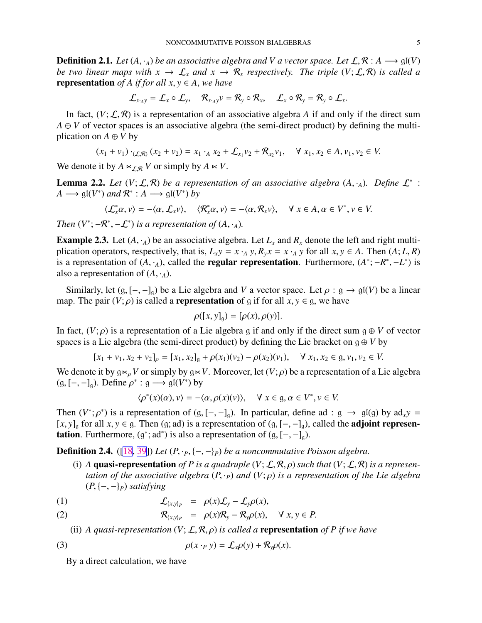<span id="page-4-0"></span>**Definition 2.1.** *Let*  $(A, \cdot_A)$  *be an associative algebra and* V *a vector space. Let*  $\mathcal{L}, \mathcal{R}: A \longrightarrow \mathfrak{gl}(V)$ *be two linear maps with*  $x \to \mathcal{L}_x$  *and*  $x \to \mathcal{R}_x$  *respectively. The triple*  $(V; \mathcal{L}, \mathcal{R})$  *is called a* **representation** *of A if for all x, y*  $\in$  *A, we have* 

$$
\mathcal{L}_{x \cdot A y} = \mathcal{L}_{x} \circ \mathcal{L}_{y}, \quad \mathcal{R}_{x \cdot A y} v = \mathcal{R}_{y} \circ \mathcal{R}_{x}, \quad \mathcal{L}_{x} \circ \mathcal{R}_{y} = \mathcal{R}_{y} \circ \mathcal{L}_{x}.
$$

In fact,  $(V; \mathcal{L}, \mathcal{R})$  is a representation of an associative algebra *A* if and only if the direct sum  $A \oplus V$  of vector spaces is an associative algebra (the semi-direct product) by defining the multiplication on  $A \oplus V$  by

$$
(x_1 + v_1) \cdot_{(\mathcal{L}, \mathcal{R})} (x_2 + v_2) = x_1 \cdot_A x_2 + \mathcal{L}_{x_1} v_2 + \mathcal{R}_{x_2} v_1, \quad \forall x_1, x_2 \in A, v_1, v_2 \in V.
$$

We denote it by  $A \ltimes_{L\mathcal{R}} V$  or simply by  $A \ltimes V$ .

**Lemma 2.2.** Let  $(V; \mathcal{L}, \mathcal{R})$  be a representation of an associative algebra  $(A, \cdot_A)$ . Define  $\mathcal{L}^*$ :  $A \longrightarrow \mathfrak{gl}(V^*)$  and  $\mathcal{R}^* : A \longrightarrow \mathfrak{gl}(V^*)$  by

$$
\langle \mathcal{L}_x^* \alpha, v \rangle = -\langle \alpha, \mathcal{L}_x v \rangle, \quad \langle \mathcal{R}_x^* \alpha, v \rangle = -\langle \alpha, \mathcal{R}_x v \rangle, \quad \forall \ x \in A, \alpha \in V^*, v \in V.
$$

*Then*  $(V^*; -R^*,-\mathcal{L}^*)$  *is a representation of*  $(A, \cdot_A)$ *.* 

**Example 2.3.** Let  $(A, \cdot_A)$  be an associative algebra. Let  $L_x$  and  $R_x$  denote the left and right multiplication operators, respectively, that is,  $L_x y = x \cdot_A y$ ,  $R_y x = x \cdot_A y$  for all  $x, y \in A$ . Then  $(A; L, R)$ is a representation of  $(A, \cdot_A)$ , called the **regular representation**. Furthermore,  $(A^*; -R^*, -L^*)$  is also a representation of  $(A, \cdot_A)$ .

Similarly, let  $(g, [-,-]_g)$  be a Lie algebra and *V* a vector space. Let  $\rho : g \to gl(V)$  be a linear map. The pair  $(V; \rho)$  is called a **representation** of g if for all  $x, y \in g$ , we have

$$
\rho([x, y]_g) = [\rho(x), \rho(y)].
$$

In fact,  $(V; \rho)$  is a representation of a Lie algebra g if and only if the direct sum  $g \oplus V$  of vector spaces is a Lie algebra (the semi-direct product) by defining the Lie bracket on  $g \oplus V$  by

$$
[x_1 + v_1, x_2 + v_2]_{\rho} = [x_1, x_2]_{\mathfrak{g}} + \rho(x_1)(v_2) - \rho(x_2)(v_1), \quad \forall x_1, x_2 \in \mathfrak{g}, v_1, v_2 \in V.
$$

We denote it by  $g \kappa_\rho V$  or simply by  $g \kappa V$ . Moreover, let  $(V; \rho)$  be a representation of a Lie algebra  $(g, [-,-]_g)$ . Define  $\rho^* : g \longrightarrow gl(V^*)$  by

$$
\langle \rho^*(x)(\alpha), v \rangle = -\langle \alpha, \rho(x)(v) \rangle, \quad \forall \ x \in \mathfrak{g}, \alpha \in V^*, v \in V.
$$

Then  $(V^*; \rho^*)$  is a representation of  $(g, [-,-]_g)$ . In particular, define ad :  $g \to gl(g)$  by ad<sub>x</sub>*y* =  $[x, y]_q$  for all  $x, y \in g$ . Then  $(g; ad)$  is a representation of  $(g, [-,-]_q)$ , called the **adjoint representation**. Furthermore,  $(g^*; ad^*)$  is also a representation of  $(g, [-,-]_g)$ .

**Definition 2.4.** ([\[18](#page-22-0), [39](#page-23-0)]) *Let*  $(P, \cdot_P, \{-, -\}_P)$  *be a noncommutative Poisson algebra.* 

(i) *A* quasi-representation of *P* is a quadruple  $(V; \mathcal{L}, \mathcal{R}, \rho)$  such that  $(V; \mathcal{L}, \mathcal{R})$  is a represen*tation of the associative algebra*  $(P, \cdot_P)$  *and*  $(V; \rho)$  *is a representation of the Lie algebra* (*P*, {−, −}*P*) *satisfying*

(1) 
$$
\mathcal{L}_{\{x,y\}_P} = \rho(x)\mathcal{L}_y - \mathcal{L}_y\rho(x),
$$

(2) 
$$
\mathcal{R}_{\{x,y\}_P} = \rho(x)\mathcal{R}_y - \mathcal{R}_y\rho(x), \quad \forall x, y \in P.
$$

(ii) *A quasi-representation*  $(V; \mathcal{L}, \mathcal{R}, \rho)$  *is called a* **representation** *of P if we have* 

(3) 
$$
\rho(x \cdot_P y) = \mathcal{L}_x \rho(y) + \mathcal{R}_y \rho(x).
$$

By a direct calculation, we have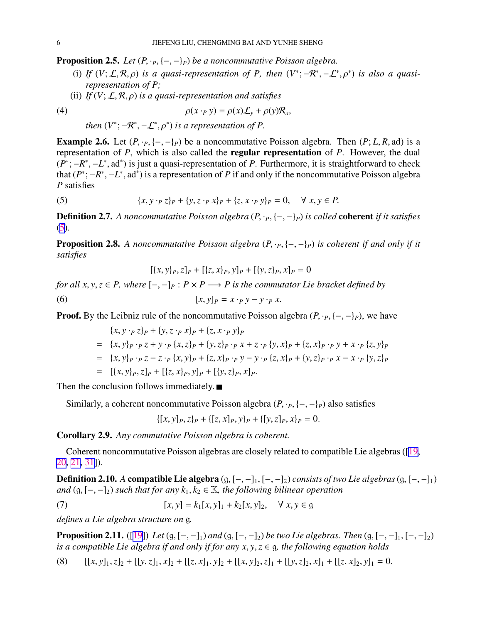<span id="page-5-0"></span>**Proposition 2.5.** *Let*  $(P, \cdot_P, \{-, -\}_P)$  *be a noncommutative Poisson algebra.* 

- (i) If  $(V; \mathcal{L}, \mathcal{R}, \rho)$  *is a quasi-representation of P, then*  $(V^*; -\mathcal{R}^*, -\mathcal{L}^*, \rho^*)$  *is also a quasirepresentation of P;*
- (ii) *If* (*V*; L, R, ρ) *is a quasi-representation and satisfies*

(4) 
$$
\rho(x \cdot_P y) = \rho(x)\mathcal{L}_y + \rho(y)\mathcal{R}_x,
$$

*then*  $(V^*; -R^*, -\mathcal{L}^*, \rho^*)$  *is a representation of P.* 

**Example 2.6.** Let  $(P, \cdot_P, \{-, -\}_P)$  be a noncommutative Poisson algebra. Then  $(P; L, R, ad)$  is a representation of *P*, which is also called the regular representation of *P*. However, the dual  $(\overline{P^*}; -R^*, -L^*, \text{ad}^*)$  is just a quasi-representation of *P*. Furthermore, it is straightforward to check that  $(P^*; -R^*, -L^*, ad^*)$  is a representation of *P* if and only if the noncommutative Poisson algebra *P* satisfies

(5) 
$$
\{x, y \cdot_P z\}_P + \{y, z \cdot_P x\}_P + \{z, x \cdot_P y\}_P = 0, \quad \forall x, y \in P.
$$

**Definition 2.7.** A noncommutative Poisson algebra  $(P, \cdot_P, \{-, -\}_P)$  is called **coherent** *if it satisfies* (5)*.*

**Proposition 2.8.** A noncommutative Poisson algebra  $(P, \cdot_P, \{-, -\}_P)$  is coherent if and only if it *satisfies*

$$
[\{x, y\}_P, z]_P + [\{z, x\}_P, y]_P + [\{y, z\}_P, x]_P = 0
$$

*for all x, y, z*  $\in$  *P, where*  $[-,-]_P$  :  $P \times P \longrightarrow P$  *is the commutator Lie bracket defined by* (6)  $[x, y]_p = x \cdot_p y - y \cdot_p x$ .

**Proof.** By the Leibniz rule of the noncommutative Poisson algebra  $(P, \cdot_P, \{-, -\}_P)$ , we have

$$
\{x, y \cdot_P z\}_P + \{y, z \cdot_P x\}_P + \{z, x \cdot_P y\}_P
$$
  
=  $\{x, y\}_P \cdot_P z + y \cdot_P \{x, z\}_P + \{y, z\}_P \cdot_P x + z \cdot_P \{y, x\}_P + \{z, x\}_P \cdot_P y + x \cdot_P \{z, y\}_P$   
=  $\{x, y\}_P \cdot_P z - z \cdot_P \{x, y\}_P + \{z, x\}_P \cdot_P y - y \cdot_P \{z, x\}_P + \{y, z\}_P \cdot_P x - x \cdot_P \{y, z\}_P$   
=  $[\{x, y\}_P, z]_P + [\{z, x\}_P, y]_P + [\{y, z\}_P, x]_P.$ 

Then the conclusion follows immediately.  $\blacksquare$ 

Similarly, a coherent noncommutative Poisson algebra  $(P, \cdot_P, \{-, -\}_P)$  also satisfies

 $\{ [x, y]_P, z \}_P + \{ [z, x]_P, y \}_P + \{ [y, z]_P, x \}_P = 0.$ 

Corollary 2.9. *Any commutative Poisson algebra is coherent.*

Coherent noncommutative Poisson algebras are closely related to compatible Lie algebras ([\[19](#page-22-0), [20](#page-22-0), [21,](#page-22-0) [31\]](#page-23-0)).

**Definition 2.10.** *A* compatible Lie algebra  $(g, [-, -]_1, [-, -]_2)$  *consists of two Lie algebras*  $(g, [-, -]_1)$ *and*  $(g, [-, -]_2)$  *such that for any*  $k_1, k_2 \in \mathbb{K}$ *, the following bilinear operation* 

(7) 
$$
[x, y] = k_1[x, y]_1 + k_2[x, y]_2, \quad \forall x, y \in \mathfrak{g}
$$

*defines a Lie algebra structure on* g*.*

**Proposition 2.11.** ([[19\]](#page-22-0)) *Let* (g,  $[-, -]_1$ ) and (g,  $[-, -]_2$ ) *be two Lie algebras. Then* (g,  $[-, -]_1$ ,  $[-, -]_2$ ) *is a compatible Lie algebra if and only if for any x*, *y*,*z* ∈ g*, the following equation holds*

(8)  $[[x, y]_1, z]_2 + [[y, z]_1, x]_2 + [[z, x]_1, y]_2 + [[x, y]_2, z]_1 + [[y, z]_2, x]_1 + [[z, x]_2, y]_1 = 0.$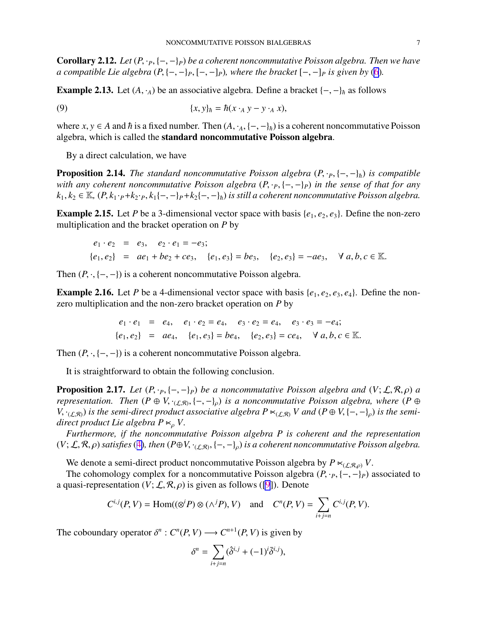<span id="page-6-0"></span>**Corollary 2.12.** *Let*  $(P, \cdot_P, \{-, -\}_P)$  *be a coherent noncommutative Poisson algebra. Then we have a* compatible Lie algebra  $(P, \{-, -\}_P, \{-, -\}_P)$ , where the bracket  $[-, -]_P$  is given by [\(6](#page-5-0)).

**Example 2.13.** Let  $(A, \cdot_A)$  be an associative algebra. Define a bracket  $\{-, -\}_\hbar$  as follows

(9) 
$$
\{x, y\}_h = h(x \cdot_A y - y \cdot_A x),
$$

where  $x, y \in A$  and  $\hbar$  is a fixed number. Then  $(A, \cdot_A, \{-, -\}_\hbar)$  is a coherent noncommutative Poisson algebra, which is called the standard noncommutative Poisson algebra.

By a direct calculation, we have

**Proposition 2.14.** *The standard noncommutative Poisson algebra*  $(P, \cdot_P, \{-, -\}_\hbar)$  *is compatible with any coherent noncommutative Poisson algebra*  $(P, \cdot_P, \{-, -\}_P)$  *in the sense of that for any*  $k_1, k_2 \in \mathbb{K}$ ,  $(P, k_1 \cdot P + k_2 \cdot P, k_1\{-, -\}P + k_2\{-, -\}P$  *is still a coherent noncommutative Poisson algebra.* 

**Example 2.15.** Let *P* be a 3-dimensional vector space with basis  $\{e_1, e_2, e_3\}$ . Define the non-zero multiplication and the bracket operation on *P* by

$$
e_1 \cdot e_2 = e_3, e_2 \cdot e_1 = -e_3;
$$
  
\n $\{e_1, e_2\} = ae_1 + be_2 + ce_3, \{e_1, e_3\} = be_3, \{e_2, e_3\} = -ae_3, \forall a, b, c \in \mathbb{K}.$ 

Then  $(P, \cdot, \{-, -\})$  is a coherent noncommutative Poisson algebra.

**Example 2.16.** Let *P* be a 4-dimensional vector space with basis  $\{e_1, e_2, e_3, e_4\}$ . Define the nonzero multiplication and the non-zero bracket operation on *P* by

$$
e_1 \cdot e_1 = e_4, \quad e_1 \cdot e_2 = e_4, \quad e_3 \cdot e_2 = e_4, \quad e_3 \cdot e_3 = -e_4;
$$
  
 $\{e_1, e_2\} = ae_4, \quad \{e_1, e_3\} = be_4, \quad \{e_2, e_3\} = ce_4, \quad \forall a, b, c \in \mathbb{K}.$ 

Then  $(P, \cdot, \{-, -\})$  is a coherent noncommutative Poisson algebra.

It is straightforward to obtain the following conclusion.

**Proposition 2.17.** *Let*  $(P, \cdot_P, \{-, -\}_P)$  *be a noncommutative Poisson algebra and*  $(V, \mathcal{L}, \mathcal{R}, \rho)$  *a representation.* Then  $(P \oplus V, \cdot_{(\mathcal{L}, \mathcal{R})}, \{-, -\}_\rho)$  is a noncommutative Poisson algebra, where  $(P \oplus$ *V*,  $\cdot_{(L,\mathcal{R})}$  *is the semi-direct product associative algebra P*  $\lt_{(L,\mathcal{R})}$  *V and*  $(P \oplus V, \{-,-\}_\rho)$  *is the semidirect product Lie algebra P*  $\lt_{\rho}$  *V*.

*Furthermore, if the noncommutative Poisson algebra P is coherent and the representation*  $(V; \mathcal{L}, \mathcal{R}, \rho)$  satisfies ([4\)](#page-5-0), then  $(P \oplus V, \cdot_{(\mathcal{L}, \mathcal{R})}, \{-, -\}_\rho)$  is a coherent noncommutative Poisson algebra.

We denote a semi-direct product noncommutative Poisson algebra by  $P \ltimes_{(\mathcal{LR},\rho)} V$ .

The cohomology complex for a noncommutative Poisson algebra  $(P, \cdot_P, \{-, -\}P)$  associated to a quasi-representation  $(V; \mathcal{L}, \mathcal{R}, \rho)$  is given as follows ([\[9](#page-22-0)]). Denote

$$
C^{i,j}(P,V) = \text{Hom}((\otimes^i P) \otimes (\wedge^j P), V) \quad \text{and} \quad C^n(P,V) = \sum_{i+j=n} C^{i,j}(P,V).
$$

The coboundary operator  $\delta^n$  :  $C^n(P, V) \longrightarrow C^{n+1}(P, V)$  is given by

$$
\delta^n = \sum_{i+j=n} (\hat{\delta}^{i,j} + (-1)^i \bar{\delta}^{i,j}),
$$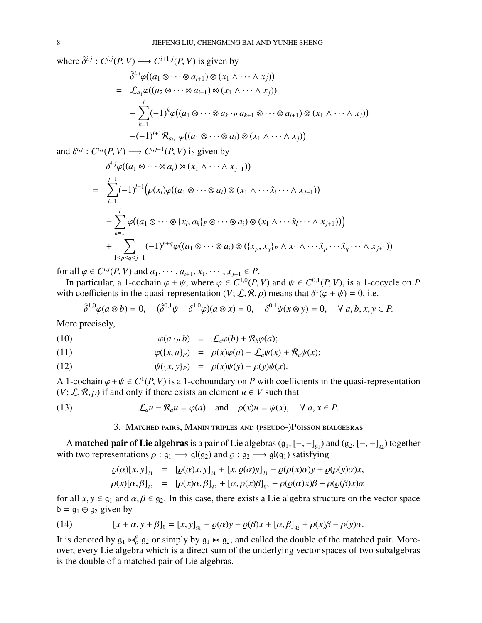<span id="page-7-0"></span>where  $\hat{\delta}^{i,j}$ :  $C^{i,j}(P, V) \longrightarrow C^{i+1,j}(P, V)$  is given by  $\hat{\delta}^{i,j}\varphi((a_1\otimes\cdots\otimes a_{i+1})\otimes(x_1\wedge\cdots\wedge x_j))$  $=$   $\mathcal{L}_{a_1}\varphi((a_2\otimes\cdots\otimes a_{i+1})\otimes(x_1\wedge\cdots\wedge x_i))$  $+\sum$ *i k*=1  $(-1)^{k} \varphi((a_{1} \otimes \cdots \otimes a_{k} \cdot_{P} a_{k+1} \otimes \cdots \otimes a_{i+1}) \otimes (x_{1} \wedge \cdots \wedge x_{j}))$  $+(-1)^{i+1}\mathcal{R}_{a_{i+1}}\varphi((a_1\otimes\cdots\otimes a_i)\otimes(x_1\wedge\cdots\wedge x_j))$ 

and  $\bar{\delta}^{i,j}$ :  $C^{i,j}(P, V) \longrightarrow C^{i,j+1}(P, V)$  is given by

$$
\overline{\delta}^{i,j}\varphi((a_1 \otimes \cdots \otimes a_i) \otimes (x_1 \wedge \cdots \wedge x_{j+1}))
$$
\n
$$
= \sum_{l=1}^{j+1} (-1)^{l+1} \big(\rho(x_l)\varphi((a_1 \otimes \cdots \otimes a_i) \otimes (x_1 \wedge \cdots \hat{x}_l \cdots \wedge x_{j+1}))\big)
$$
\n
$$
- \sum_{k=1}^i \varphi((a_1 \otimes \cdots \otimes \{x_l, a_k\}_P \otimes \cdots \otimes a_i) \otimes (x_1 \wedge \cdots \hat{x}_l \cdots \wedge x_{j+1}))\big)
$$
\n
$$
+ \sum_{1 \le p \le q \le j+1} (-1)^{p+q} \varphi((a_1 \otimes \cdots \otimes a_i) \otimes (\{x_p, x_q\}_P \wedge x_1 \wedge \cdots \hat{x}_p \cdots \hat{x}_q \cdots \wedge x_{j+1}))
$$

for all  $\varphi \in C^{i,j}(P, V)$  and  $a_1, \dots, a_{i+1}, x_1, \dots, x_{j+1} \in P$ .

In particular, a 1-cochain  $\varphi + \psi$ , where  $\varphi \in C^{1,0}(P, V)$  and  $\psi \in C^{0,1}(P, V)$ , is a 1-cocycle on *P* with coefficients in the quasi-representation  $(V; \mathcal{L}, \mathcal{R}, \rho)$  means that  $\delta^1(\varphi + \psi) = 0$ , i.e.

$$
\hat{\delta}^{1,0}\varphi(a\otimes b)=0,\quad (\hat{\delta}^{0,1}\psi-\bar{\delta}^{1,0}\varphi)(a\otimes x)=0,\quad \bar{\delta}^{0,1}\psi(x\otimes y)=0,\quad \forall a,b,x,y\in P.
$$

More precisely,

(10) 
$$
\varphi(a \cdot_P b) = \mathcal{L}_a \varphi(b) + \mathcal{R}_b \varphi(a);
$$

(11) 
$$
\varphi(\{x,a\}_P) = \rho(x)\varphi(a) - \mathcal{L}_a\psi(x) + \mathcal{R}_a\psi(x);
$$

(12) 
$$
\psi({x,y}]_P = \rho(x)\psi(y) - \rho(y)\psi(x).
$$

A 1-cochain  $\varphi + \psi \in C^1(P, V)$  is a 1-coboundary on *P* with coefficients in the quasi-representation  $(V; \mathcal{L}, \mathcal{R}, \rho)$  if and only if there exists an element  $u \in V$  such that

(13) 
$$
\mathcal{L}_a u - \mathcal{R}_a u = \varphi(a) \text{ and } \rho(x)u = \psi(x), \quad \forall \ a, x \in P.
$$

3. Matched pairs, Manin triples and (pseudo-)Poisson bialgebras

A **matched pair of Lie algebras** is a pair of Lie algebras  $(g_1, [-, -]_{g_1})$  and  $(g_2, [-, -]_{g_2})$  together with two representations  $\rho : \mathfrak{g}_1 \longrightarrow \mathfrak{gl}(\mathfrak{g}_2)$  and  $\rho : \mathfrak{g}_2 \longrightarrow \mathfrak{gl}(\mathfrak{g}_1)$  satisfying

$$
\rho(\alpha)[x, y]_{\mathfrak{g}_1} = [\rho(\alpha)x, y]_{\mathfrak{g}_1} + [x, \rho(\alpha)y]_{\mathfrak{g}_1} - \rho(\rho(x)\alpha)y + \rho(\rho(y)\alpha)x,\n\rho(x)[\alpha, \beta]_{\mathfrak{g}_2} = [\rho(x)\alpha, \beta]_{\mathfrak{g}_2} + [\alpha, \rho(x)\beta]_{\mathfrak{g}_2} - \rho(\rho(\alpha)x)\beta + \rho(\rho(\beta)x)\alpha
$$

for all  $x, y \in g_1$  and  $\alpha, \beta \in g_2$ . In this case, there exists a Lie algebra structure on the vector space  $\delta = g_1 \oplus g_2$  given by

(14) 
$$
[x + \alpha, y + \beta]_b = [x, y]_{g_1} + \varrho(\alpha)y - \varrho(\beta)x + [\alpha, \beta]_{g_2} + \rho(x)\beta - \rho(y)\alpha.
$$

It is denoted by  $g_1 \Join_{\rho}^{\rho} g_2$  or simply by  $g_1 \Join g_2$ , and called the double of the matched pair. Moreover, every Lie algebra which is a direct sum of the underlying vector spaces of two subalgebras is the double of a matched pair of Lie algebras.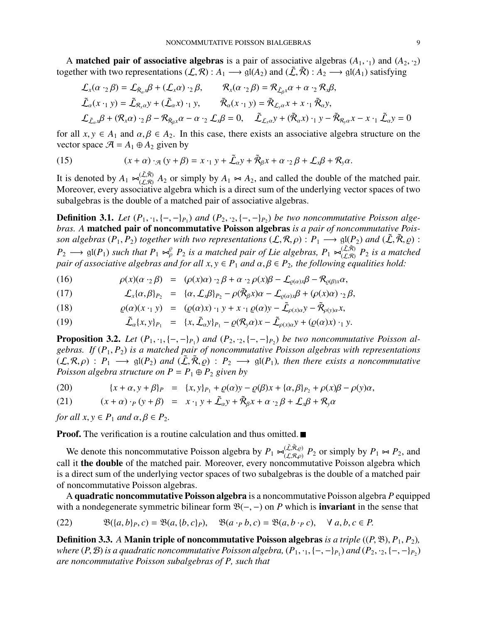<span id="page-8-0"></span>A **matched pair of associative algebras** is a pair of associative algebras  $(A_1, \cdot_1)$  and  $(A_2, \cdot_2)$ together with two representations  $(\mathcal{L}, \mathcal{R}) : A_1 \longrightarrow \mathfrak{gl}(A_2)$  and  $(\tilde{\mathcal{L}}, \tilde{\mathcal{R}}) : A_2 \longrightarrow \mathfrak{gl}(A_1)$  satisfying

$$
\mathcal{L}_{x}(\alpha \cdot_{2} \beta) = \mathcal{L}_{\tilde{R}_{\alpha}x} \beta + (\mathcal{L}_{x} \alpha) \cdot_{2} \beta, \qquad \mathcal{R}_{x}(\alpha \cdot_{2} \beta) = \mathcal{R}_{\tilde{L}_{\beta}x} \alpha + \alpha \cdot_{2} \mathcal{R}_{x} \beta,
$$
\n
$$
\tilde{\mathcal{L}}_{\alpha}(x \cdot_{1} y) = \tilde{\mathcal{L}}_{\mathcal{R}_{x} \alpha} y + (\tilde{\mathcal{L}}_{\alpha} x) \cdot_{1} y, \qquad \tilde{\mathcal{R}}_{\alpha}(x \cdot_{1} y) = \tilde{\mathcal{R}}_{\mathcal{L}_{y} \alpha} x + x \cdot_{1} \tilde{\mathcal{R}}_{\alpha} y,
$$
\n
$$
\mathcal{L}_{\tilde{\mathcal{L}}_{\alpha}x} \beta + (\mathcal{R}_{x} \alpha) \cdot_{2} \beta - \mathcal{R}_{\tilde{\mathcal{R}}_{\beta}x} \alpha - \alpha \cdot_{2} \mathcal{L}_{x} \beta = 0, \qquad \tilde{\mathcal{L}}_{\mathcal{L}_{x} \alpha} y + (\tilde{\mathcal{R}}_{\alpha} x) \cdot_{1} y - \tilde{\mathcal{R}}_{\mathcal{R}_{y} \alpha} x - x \cdot_{1} \tilde{\mathcal{L}}_{\alpha} y = 0
$$

for all  $x, y \in A_1$  and  $\alpha, \beta \in A_2$ . In this case, there exists an associative algebra structure on the vector space  $\mathcal{A} = A_1 \oplus A_2$  given by

(15) 
$$
(x+\alpha)\cdot_{\mathcal{A}}(y+\beta)=x\cdot_{1}y+\tilde{\mathcal{L}}_{\alpha}y+\tilde{\mathcal{R}}_{\beta}x+\alpha\cdot_{2}\beta+\mathcal{L}_{x}\beta+\mathcal{R}_{y}\alpha.
$$

It is denoted by  $A_1 \Join_{(f,R)}^{(\tilde{L}, \tilde{R})}$  $(L, R)$  *A*<sub>2</sub> or simply by *A*<sub>1</sub>  $\thicksim$  *A*<sub>2</sub>, and called the double of the matched pair. Moreover, every associative algebra which is a direct sum of the underlying vector spaces of two subalgebras is the double of a matched pair of associative algebras.

**Definition 3.1.** Let  $(P_1, \cdot_1, \{-,-\}_{P_1})$  and  $(P_2, \cdot_2, \{-,-\}_{P_2})$  be two noncommutative Poisson alge*bras. A* matched pair of noncommutative Poisson algebras *is a pair of noncommutative Poisson algebras* ( $P_1, P_2$ ) *together with two representations* ( $\mathcal{L}, \mathcal{R}, \rho$ ) :  $P_1 \longrightarrow \text{gl}(P_2)$  *and* ( $\tilde{\mathcal{L}}, \tilde{\mathcal{R}}, \rho$ ) :  $P_2 \longrightarrow \mathfrak{gl}(P_1)$  *such that*  $P_1 \Join_{\rho}^{\rho} P_2$  *is a matched pair of Lie algebras,*  $P_1 \Join_{\rho}^{(\tilde{L}, \tilde{R})}$  $\prod_{(\mathcal{L},\mathcal{R})}^{(\mathcal{L},\mathcal{R})}$  *P*<sub>2</sub> *is a matched pair of associative algebras and for all x,*  $y \in P_1$  *and*  $\alpha, \beta \in P_2$ , the following equalities hold:

(16) 
$$
\rho(x)(\alpha \cdot_2 \beta) = (\rho(x)\alpha) \cdot_2 \beta + \alpha \cdot_2 \rho(x)\beta - \mathcal{L}_{\rho(\alpha)x}\beta - \mathcal{R}_{\rho(\beta)x}\alpha,
$$

(17) 
$$
\mathcal{L}_x\{\alpha,\beta\}_{P_2} = \{\alpha,\mathcal{L}_x\beta\}_{P_2} - \rho(\tilde{\mathcal{R}}_{\beta}x)\alpha - \mathcal{L}_{\varrho(\alpha)x}\beta + (\rho(x)\alpha) \cdot_2 \beta,
$$

(18) 
$$
\varrho(\alpha)(x \cdot_1 y) = (\varrho(\alpha)x) \cdot_1 y + x \cdot_1 \varrho(\alpha)y - \tilde{\mathcal{L}}_{\rho(x)\alpha}y - \tilde{\mathcal{R}}_{\rho(y)\alpha}x,
$$

(19) 
$$
\tilde{\mathcal{L}}_{\alpha}\{x,y\}_{P_1} = \{x,\tilde{\mathcal{L}}_{\alpha}y\}_{P_1} - \varrho(\mathcal{R}_y\alpha)x - \tilde{\mathcal{L}}_{\rho(x)\alpha}y + (\varrho(\alpha)x)\cdot_1 y.
$$

**Proposition 3.2.** Let  $(P_1, \cdot_1, \{-, -\}_{P_1})$  and  $(P_2, \cdot_2, \{-, -\}_{P_2})$  be two noncommutative Poisson al*gebras. If* (*P*1, *P*2) *is a matched pair of noncommutative Poisson algebras with representations*  $(\mathcal{L}, \mathcal{R}, \rho) : P_1 \longrightarrow \mathfrak{gl}(P_2)$  and  $(\tilde{\mathcal{L}}, \tilde{\mathcal{R}}, \rho) : P_2 \longrightarrow \mathfrak{gl}(P_1)$ , then there exists a noncommutative *Poisson algebra structure on*  $P = P_1 \oplus P_2$  *given by* 

(20) 
$$
\{x + \alpha, y + \beta\}_P = \{x, y\}_{P_1} + \varrho(\alpha)y - \varrho(\beta)x + \{\alpha, \beta\}_{P_2} + \rho(x)\beta - \rho(y)\alpha,
$$

(21) 
$$
(x+\alpha)\cdot_p(y+\beta) = x\cdot_1 y + \tilde{\mathcal{L}}_\alpha y + \tilde{\mathcal{R}}_\beta x + \alpha\cdot_2 \beta + \mathcal{L}_x \beta + \mathcal{R}_y \alpha
$$

*for all*  $x, y \in P_1$  *and*  $\alpha, \beta \in P_2$ .

**Proof.** The verification is a routine calculation and thus omitted.

We denote this noncommutative Poisson algebra by  $P_1 \Join_{(f,R_0)}^{(\tilde{\mathcal{L}}, \tilde{\mathcal{R}}, \rho)}$  $(\mathcal{L}, \mathcal{R}, \rho)$   $P_2$  or simply by  $P_1 \Join P_2$ , and call it the double of the matched pair. Moreover, every noncommutative Poisson algebra which is a direct sum of the underlying vector spaces of two subalgebras is the double of a matched pair of noncommutative Poisson algebras.

A quadratic noncommutative Poisson algebra is a noncommutative Poisson algebra *P* equipped with a nondegenerate symmetric bilinear form  $\mathfrak{B}(-, -)$  on *P* which is **invariant** in the sense that

(22) 
$$
\mathfrak{B}(\{a,b\}_P,c)=\mathfrak{B}(a,\{b,c\}_P), \quad \mathfrak{B}(a\cdot_P b,c)=\mathfrak{B}(a,b\cdot_P c), \quad \forall a,b,c\in P.
$$

**Definition 3.3.** *A* Manin triple of noncommutative Poisson algebras *is a triple*  $((P, \mathfrak{B}), P_1, P_2)$ *, where*  $(P, B)$  is a quadratic noncommutative Poisson algebra,  $(P_1, \cdot_1, \{-, -\}_{P_1})$  and  $(P_2, \cdot_2, \{-, -\}_{P_2})$ *are noncommutative Poisson subalgebras of P, such that*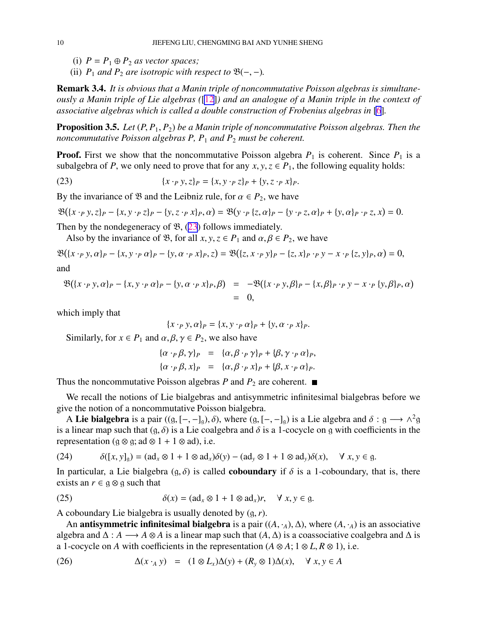- <span id="page-9-0"></span>(i)  $P = P_1 \oplus P_2$  *as vector spaces;*
- (ii)  $P_1$  *and*  $P_2$  *are isotropic with respect to*  $\mathfrak{B}(-,-)$ *.*

Remark 3.4. *It is obvious that a Manin triple of noncommutative Poisson algebras is simultaneously a Manin triple of Lie algebras (*[[12\]](#page-22-0)*) and an analogue of a Manin triple in the context of associative algebras which is called a double construction of Frobenius algebras in* [\[6](#page-22-0)]*.*

Proposition 3.5. *Let* (*P*, *P*1, *P*2) *be a Manin triple of noncommutative Poisson algebras. Then the noncommutative Poisson algebras P, P*<sup>1</sup> *and P*<sup>2</sup> *must be coherent.*

**Proof.** First we show that the noncommutative Poisson algebra  $P_1$  is coherent. Since  $P_1$  is a subalgebra of *P*, we only need to prove that for any  $x, y, z \in P_1$ , the following equality holds:

(23) 
$$
\{x \cdot_P y, z\}_P = \{x, y \cdot_P z\}_P + \{y, z \cdot_P x\}_P.
$$

By the invariance of B and the Leibniz rule, for  $\alpha \in P_2$ , we have

$$
\mathfrak{B}(\{x \cdot_{P} y, z\}_{P} - \{x, y \cdot_{P} z\}_{P} - \{y, z \cdot_{P} x\}_{P}, \alpha) = \mathfrak{B}(y \cdot_{P} \{z, \alpha\}_{P} - \{y \cdot_{P} z, \alpha\}_{P} + \{y, \alpha\}_{P} \cdot_{P} z, x) = 0.
$$

Then by the nondegeneracy of  $\mathfrak{B}$ , (23) follows immediately.

Also by the invariance of  $\mathcal{B}$ , for all  $x, y, z \in P_1$  and  $\alpha, \beta \in P_2$ , we have

$$
\mathfrak{B}(\{x \cdot_{P} y, \alpha\}_{P} - \{x, y \cdot_{P} \alpha\}_{P} - \{y, \alpha \cdot_{P} x\}_{P}, z) = \mathfrak{B}(\{z, x \cdot_{P} y\}_{P} - \{z, x\}_{P} \cdot_{P} y - x \cdot_{P} \{z, y\}_{P}, \alpha) = 0,
$$
  
and

$$
\mathfrak{B}(\lbrace x \cdot_P y, \alpha \rbrace_P - \lbrace x, y \cdot_P \alpha \rbrace_P - \lbrace y, \alpha \cdot_P x \rbrace_P, \beta) = -\mathfrak{B}(\lbrace x \cdot_P y, \beta \rbrace_P - \lbrace x, \beta \rbrace_P \cdot_P y - x \cdot_P \lbrace y, \beta \rbrace_P, \alpha) = 0,
$$

which imply that

$$
\{x \cdot_P y, \alpha\}_P = \{x, y \cdot_P \alpha\}_P + \{y, \alpha \cdot_P x\}_P.
$$

Similarly, for  $x \in P_1$  and  $\alpha, \beta, \gamma \in P_2$ , we also have

$$
\begin{array}{rcl}\n\{\alpha \cdot_{P} \beta, \gamma\}_{P} & = & \{\alpha, \beta \cdot_{P} \gamma\}_{P} + \{\beta, \gamma \cdot_{P} \alpha\}_{P}, \\
\{\alpha \cdot_{P} \beta, x\}_{P} & = & \{\alpha, \beta \cdot_{P} x\}_{P} + \{\beta, x \cdot_{P} \alpha\}_{P}.\n\end{array}
$$

Thus the noncommutative Poisson algebras *P* and  $P_2$  are coherent.  $\blacksquare$ 

We recall the notions of Lie bialgebras and antisymmetric infinitesimal bialgebras before we give the notion of a noncommutative Poisson bialgebra.

A Lie bialgebra is a pair  $((g, [-, -]_g), \delta)$ , where  $(g, [-, -]_g)$  is a Lie algebra and  $\delta : g \longrightarrow \Lambda^2 g$ is a linear map such that  $(g, \delta)$  is a Lie coalgebra and  $\delta$  is a 1-cocycle on g with coefficients in the representation ( $g \otimes g$ ; ad  $\otimes 1 + 1 \otimes ad$ ), i.e.

(24) 
$$
\delta([x, y]_g) = (ad_x \otimes 1 + 1 \otimes ad_x)\delta(y) - (ad_y \otimes 1 + 1 \otimes ad_y)\delta(x), \quad \forall x, y \in g.
$$

In particular, a Lie bialgebra  $(g, \delta)$  is called **coboundary** if  $\delta$  is a 1-coboundary, that is, there exists an  $r \in \mathfrak{g} \otimes \mathfrak{g}$  such that

(25) 
$$
\delta(x) = (ad_x \otimes 1 + 1 \otimes ad_x)r, \quad \forall x, y \in g.
$$

A coboundary Lie bialgebra is usually denoted by (g,*r*).

An **antisymmetric infinitesimal bialgebra** is a pair  $((A, \cdot_A), \Delta)$ , where  $(A, \cdot_A)$  is an associative algebra and  $\Delta : A \longrightarrow A \otimes A$  is a linear map such that  $(A, \Delta)$  is a coassociative coalgebra and  $\Delta$  is a 1-cocycle on *A* with coefficients in the representation  $(A \otimes A; 1 \otimes L, R \otimes 1)$ , i.e.

(26) 
$$
\Delta(x \cdot_A y) = (1 \otimes L_x)\Delta(y) + (R_y \otimes 1)\Delta(x), \quad \forall x, y \in A
$$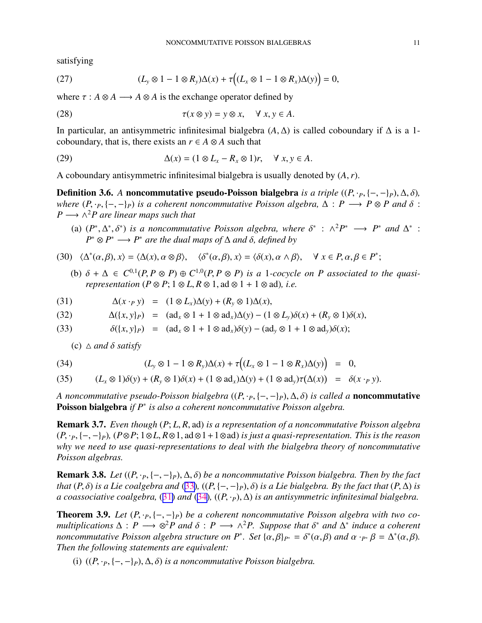<span id="page-10-0"></span>satisfying

(27) 
$$
(L_y \otimes 1 - 1 \otimes R_y)\Delta(x) + \tau((L_x \otimes 1 - 1 \otimes R_x)\Delta(y)) = 0,
$$

where  $\tau : A \otimes A \longrightarrow A \otimes A$  is the exchange operator defined by

(28) 
$$
\tau(x \otimes y) = y \otimes x, \quad \forall x, y \in A.
$$

In particular, an antisymmetric infinitesimal bialgebra (*A*, ∆) is called coboundary if ∆ is a 1 coboundary, that is, there exists an  $r \in A \otimes A$  such that

(29) 
$$
\Delta(x) = (1 \otimes L_x - R_x \otimes 1)r, \quad \forall x, y \in A.
$$

A coboundary antisymmetric infinitesimal bialgebra is usually denoted by (*A*,*r*).

Definition 3.6. *A* noncommutative pseudo-Poisson bialgebra *is a triple*  $((P, \cdot_P, \{-, -\}_P), \Delta, \delta)$ *, where*  $(P, \cdot_P, \{-, -\}_P)$  *is a coherent noncommutative Poisson algebra,*  $\Delta : P \longrightarrow P \otimes P$  *and*  $\delta :$  $P \longrightarrow \wedge^2 P$  are linear maps such that

- (a)  $(P^*, \Delta^*, \delta^*)$  *is a noncommutative Poisson algebra, where*  $\delta^*$  :  $\Lambda^2 P^* \longrightarrow P^*$  *and*  $\Delta^*$  :  $P^* \otimes P^* \longrightarrow P^*$  *are the dual maps of*  $\Delta$  *and*  $\delta$ *, defined by*
- (30)  $\langle \Delta^*(\alpha, \beta), x \rangle = \langle \Delta(x), \alpha \otimes \beta \rangle, \quad \langle \delta^*(\alpha, \beta), x \rangle = \langle \delta(x), \alpha \wedge \beta \rangle, \quad \forall x \in P, \alpha, \beta \in P^*;$ 
	- (b)  $\delta + \Delta \in C^{0,1}(P, P \otimes P) \oplus C^{1,0}(P, P \otimes P)$  *is a* 1*-cocycle on P* associated to the quasi*representation*  $(P \otimes P; 1 \otimes L, R \otimes 1, \text{ad} \otimes 1 + 1 \otimes \text{ad})$ *, i.e.*

(31) 
$$
\Delta(x \cdot_P y) = (1 \otimes L_x)\Delta(y) + (R_y \otimes 1)\Delta(x),
$$

(32) 
$$
\Delta(\lbrace x, y \rbrace_P) = (ad_x \otimes 1 + 1 \otimes ad_x) \Delta(y) - (1 \otimes L_y) \delta(x) + (R_y \otimes 1) \delta(x),
$$

(33) 
$$
\delta(\lbrace x, y \rbrace_P) = (\mathrm{ad}_x \otimes 1 + 1 \otimes \mathrm{ad}_x) \delta(y) - (\mathrm{ad}_y \otimes 1 + 1 \otimes \mathrm{ad}_y) \delta(x);
$$

(c)  $\triangle$  *and*  $\delta$  *satisfy* 

(34) 
$$
(L_y \otimes 1 - 1 \otimes R_y)\Delta(x) + \tau((L_x \otimes 1 - 1 \otimes R_x)\Delta(y)) = 0,
$$

(35) 
$$
(L_x \otimes 1)\delta(y) + (R_y \otimes 1)\delta(x) + (1 \otimes \mathrm{ad}_x)\Delta(y) + (1 \otimes \mathrm{ad}_y)\tau(\Delta(x)) = \delta(x \cdot_P y).
$$

*A noncommutative pseudo-Poisson bialgebra* ((*P*, ·*P*, {−, −}*P*), ∆, δ) *is called a* noncommutative Poisson bialgebra *if P*<sup>∗</sup> *is also a coherent noncommutative Poisson algebra.*

Remark 3.7. *Even though* (*P*; *L*, *R*, ad) *is a representation of a noncommutative Poisson algebra* (*P*, ·*P*, {−, −}*P*)*,* (*P*⊗*P*; 1⊗*L*, *R*⊗1, ad⊗1+1⊗ad) *is just a quasi-representation. This is the reason why we need to use quasi-representations to deal with the bialgebra theory of noncommutative Poisson algebras.*

**Remark 3.8.** *Let*  $((P, \cdot_P, \{-, -\}_P), \Delta, \delta)$  *be a noncommutative Poisson bialgebra. Then by the fact that*  $(P, \delta)$  *is a Lie coalgebra and* (33),  $((P, \{-, -\}P), \delta)$  *is a Lie bialgebra. By the fact that*  $(P, \Delta)$  *is a coassociative coalgebra,* (31) *and* (34)*,* ((*P*, ·*P*), ∆) *is an antisymmetric infinitesimal bialgebra.*

**Theorem 3.9.** Let  $(P, \cdot_P, \{-, -\}_P)$  be a coherent noncommutative Poisson algebra with two co*multiplications*  $\Delta$  :  $P \longrightarrow \mathbb{S}^2P$  and  $\delta$  :  $P \longrightarrow \wedge^2P$ . Suppose that  $\delta^*$  and  $\Delta^*$  induce a coherent *noncommutative Poisson algebra structure on P<sup>\*</sup>. Set*  $\{\alpha,\beta\}_{P^*} = \delta^*(\alpha,\beta)$  *and*  $\alpha \cdot_{P^*} \beta = \Delta^*(\alpha,\beta)$ *. Then the following statements are equivalent:*

(i)  $((P, \cdot_P, \{-, -\}_P), \Delta, \delta)$  *is a noncommutative Poisson bialgebra.*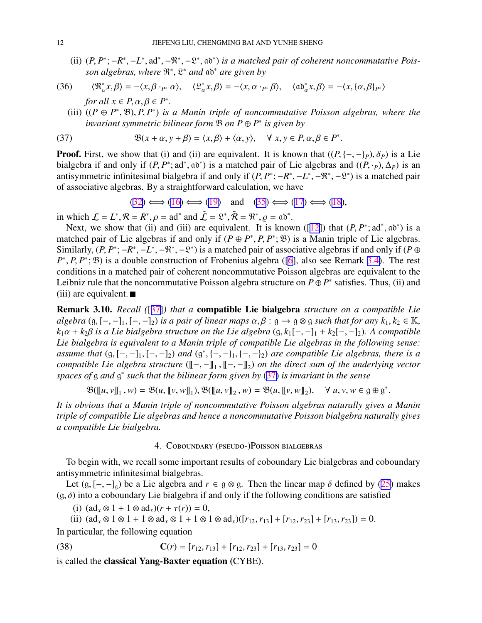<span id="page-11-0"></span>(ii)  $(P, P^*; -R^*, -L^*, ad^*, -\mathfrak{X}^*, -\mathfrak{X}^*, a\mathfrak{d}^*)$  *is a matched pair of coherent noncommutative Poisson algebras, where* R ∗ , L <sup>∗</sup> *and* ad<sup>∗</sup> *are given by*

(36) 
$$
\langle \mathfrak{R}_{\alpha}^* x, \beta \rangle = -\langle x, \beta \cdot_{P^*} \alpha \rangle
$$
,  $\langle \mathfrak{L}_{\alpha}^* x, \beta \rangle = -\langle x, \alpha \cdot_{P^*} \beta \rangle$ ,  $\langle \mathfrak{a} \mathfrak{d}_{\alpha}^* x, \beta \rangle = -\langle x, \{\alpha, \beta\}_{P^*}\rangle$   
for all  $x \in P, \alpha, \beta \in P^*$ .

(iii)  $((P \oplus P^*, \mathfrak{B}), P, P^*)$  *is a Manin triple of noncommutative Poisson algebras, where the invariant symmetric bilinear form* B *on P* ⊕ *P* ∗ *is given by*

(37) 
$$
\mathfrak{B}(x+\alpha, y+\beta) = \langle x, \beta \rangle + \langle \alpha, y \rangle, \quad \forall x, y \in P, \alpha, \beta \in P^*.
$$

**Proof.** First, we show that (i) and (ii) are equivalent. It is known that  $((P, \{-, -\}_P), \delta_P)$  is a Lie bialgebra if and only if  $(P, P^*; ad^*, ab^*)$  is a matched pair of Lie algebras and  $((P, \cdot_P), \Delta_P)$  is an antisymmetric infinitesimal bialgebra if and only if  $(P, P^*; -R^*, -L^*, -\mathbb{R}^*, -\mathbb{R}^*)$  is a matched pair of associative algebras. By a straightforward calculation, we have

$$
(32) \iff (16) \iff (19) \text{ and } (35) \iff (17) \iff (18),
$$

in which  $\mathcal{L} = L^*, \mathcal{R} = R^*, \rho = ad^*$  and  $\tilde{\mathcal{L}} = \mathcal{L}^*, \tilde{\mathcal{R}} = \mathcal{R}^*, \rho = ab^*.$ 

Next, we show that (ii) and (iii) are equivalent. It is known ([[12\]](#page-22-0)) that  $(P, P^*; ad^*, ab^*)$  is a matched pair of Lie algebras if and only if  $(P \oplus P^*, P, P^*; \mathfrak{B})$  is a Manin triple of Lie algebras. Similarly,  $(P, P^*; -R^*, -L^*, -\mathfrak{R}^*, -\mathfrak{L}^*)$  is a matched pair of associative algebras if and only if  $(P \oplus$ *P*<sup>\*</sup>, *P*, *P*<sup>\*</sup>; <sup>*B*</sup>) is a double construction of Frobenius algebra ([\[6](#page-22-0)], also see Remark [3.4\)](#page-9-0). The rest conditions in a matched pair of coherent noncommutative Poisson algebras are equivalent to the Leibniz rule that the noncommutative Poisson algebra structure on  $P \oplus P^*$  satisfies. Thus, (ii) and  $(iii)$  are equivalent.

Remark 3.10. *Recall (*[[37\]](#page-23-0)*) that a* compatible Lie bialgebra *structure on a compatible Lie algebra*  $(g, [-,-]_1, [-,-]_2)$  *is a pair of linear maps*  $\alpha, \beta : g \to g \otimes g$  *such that for any*  $k_1, k_2 \in \mathbb{K}$ ,  $k_1\alpha + k_2\beta$  *is a Lie bialgebra structure on the Lie algebra* (g,  $k_1[-,-]_1 + k_2[-,-]_2$ )*. A compatible Lie bialgebra is equivalent to a Manin triple of compatible Lie algebras in the following sense: assume that*  $(g, [-, -]_1, [-, -]_2)$  *and*  $(g^*, \{-, -]_1, \{-, -]_2\}$  *are compatible Lie algebras, there is a compatible Lie algebra structure* ( $[$ [-, - $]_1$ ,  $[$ [-, - $]_2$ ) *on the direct sum of the underlying vector spaces of* g and  $g^*$  such that the bilinear form given by (37) is invariant in the sense

$$
\mathfrak{B}(\llbracket u, v \rrbracket_1, w) = \mathfrak{B}(u, \llbracket v, w \rrbracket_1), \mathfrak{B}(\llbracket u, v \rrbracket_2, w) = \mathfrak{B}(u, \llbracket v, w \rrbracket_2), \quad \forall u, v, w \in \mathfrak{g} \oplus \mathfrak{g}^*.
$$

*It is obvious that a Manin triple of noncommutative Poisson algebras naturally gives a Manin triple of compatible Lie algebras and hence a noncommutative Poisson bialgebra naturally gives a compatible Lie bialgebra.*

### 4. Coboundary (pseudo-)Poisson bialgebras

To begin with, we recall some important results of coboundary Lie bialgebras and coboundary antisymmetric infinitesimal bialgebras.

Let  $(g, [-,-]_q)$  be a Lie algebra and  $r \in g \otimes g$ . Then the linear map  $\delta$  defined by [\(25](#page-9-0)) makes  $(g, \delta)$  into a coboundary Lie bialgebra if and only if the following conditions are satisfied

(i)  $(ad_x \otimes 1 + 1 \otimes ad_x)(r + \tau(r)) = 0$ ,

(ii)  $(ad_x \otimes 1 \otimes 1 + 1 \otimes ad_x \otimes 1 + 1 \otimes 1 \otimes ad_x)([r_{12}, r_{13}] + [r_{12}, r_{23}] + [r_{13}, r_{23}]) = 0.$ 

In particular, the following equation

(38) 
$$
\mathbf{C}(r) = [r_{12}, r_{13}] + [r_{12}, r_{23}] + [r_{13}, r_{23}] = 0
$$

is called the classical Yang-Baxter equation (CYBE).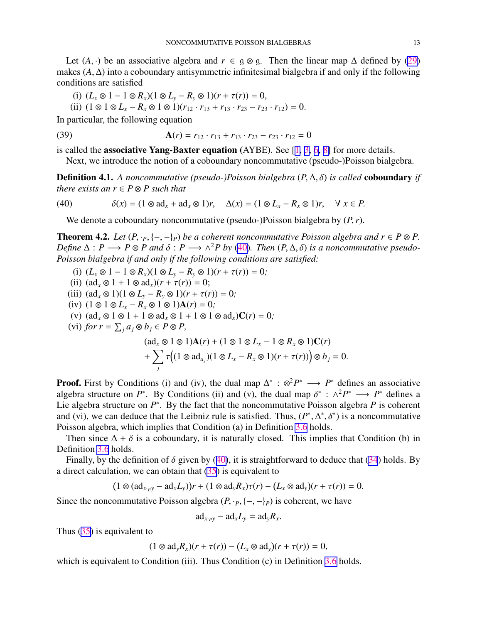<span id="page-12-0"></span>Let  $(A, \cdot)$  be an associative algebra and  $r \in \mathfrak{g} \otimes \mathfrak{g}$ . Then the linear map  $\Delta$  defined by [\(29](#page-10-0)) makes  $(A, \Delta)$  into a coboundary antisymmetric infinitesimal bialgebra if and only if the following conditions are satisfied

(i) 
$$
(L_x \otimes 1 - 1 \otimes R_x)(1 \otimes L_y - R_y \otimes 1)(r + \tau(r)) = 0
$$
,

(ii)  $(1 \otimes 1 \otimes L_x - R_x \otimes 1 \otimes 1)(r_{12} \cdot r_{13} + r_{13} \cdot r_{23} - r_{23} \cdot r_{12}) = 0.$ 

In particular, the following equation

(39) 
$$
\mathbf{A}(r) = r_{12} \cdot r_{13} + r_{13} \cdot r_{23} - r_{23} \cdot r_{12} = 0
$$

is called the **associative Yang-Baxter equation** (AYBE). See  $[1, 3, 6, 8]$  $[1, 3, 6, 8]$  $[1, 3, 6, 8]$  $[1, 3, 6, 8]$  $[1, 3, 6, 8]$  $[1, 3, 6, 8]$  $[1, 3, 6, 8]$  $[1, 3, 6, 8]$  for more details.

Next, we introduce the notion of a coboundary noncommutative (pseudo-)Poisson bialgebra.

Definition 4.1. *A noncommutative (pseudo-)Poisson bialgebra* (*P*, ∆, δ) *is called* coboundary *if there exists an*  $r \in P \otimes P$  *such that* 

(40) 
$$
\delta(x) = (1 \otimes ad_x + ad_x \otimes 1)r, \quad \Delta(x) = (1 \otimes L_x - R_x \otimes 1)r, \quad \forall x \in P.
$$

We denote a coboundary noncommutative (pseudo-)Poisson bialgebra by (*P*,*r*).

**Theorem 4.2.** *Let*  $(P, \cdot_P, \{-, -\}_P)$  *be a coherent noncommutative Poisson algebra and*  $r \in P \otimes P$ . *Define*  $\Delta$  :  $P \longrightarrow P \otimes P$  and  $\delta$  :  $P \longrightarrow \wedge^2 P$  by (40)*. Then*  $(P, \Delta, \delta)$  *is a noncommutative pseudo-Poisson bialgebra if and only if the following conditions are satisfied:*

- (i)  $(L_x \otimes 1 1 \otimes R_x)(1 \otimes L_y R_y \otimes 1)(r + \tau(r)) = 0;$
- (ii)  $(ad_x \otimes 1 + 1 \otimes ad_x)(r + \tau(r)) = 0;$
- (iii)  $(ad_x \otimes 1)(1 \otimes L_y R_y \otimes 1)(r + \tau(r)) = 0;$
- (iv)  $(1 \otimes 1 \otimes L_x R_x \otimes 1 \otimes 1)$ **A**(*r*) = 0*;*
- (v)  $(ad_x \otimes 1 \otimes 1 + 1 \otimes ad_x \otimes 1 + 1 \otimes 1 \otimes ad_x)\mathbf{C}(r) = 0;$
- $(vi)$  *for*  $r = \sum_j a_j \otimes b_j \in P \otimes P$ ,

$$
(\mathrm{ad}_x \otimes 1 \otimes 1)\mathbf{A}(r) + (1 \otimes 1 \otimes L_x - 1 \otimes R_x \otimes 1)\mathbf{C}(r)
$$
  
+ 
$$
\sum_j \tau ((1 \otimes \mathrm{ad}_{a_j})(1 \otimes L_x - R_x \otimes 1)(r + \tau(r))) \otimes b_j = 0.
$$

**Proof.** First by Conditions (i) and (iv), the dual map  $\Delta^*$  :  $\otimes^2 P^* \longrightarrow P^*$  defines an associative algebra structure on  $P^*$ . By Conditions (ii) and (v), the dual map  $\delta^*$  :  $\wedge^2 P^* \longrightarrow P^*$  defines a Lie algebra structure on  $P^*$ . By the fact that the noncommutative Poisson algebra  $P$  is coherent and (vi), we can deduce that the Leibniz rule is satisfied. Thus,  $(P^*, \Delta^*, \delta^*)$  is a noncommutative Poisson algebra, which implies that Condition (a) in Definition [3.6](#page-10-0) holds.

Then since  $\Delta + \delta$  is a coboundary, it is naturally closed. This implies that Condition (b) in Definition [3.6](#page-10-0) holds.

Finally, by the definition of  $\delta$  given by (40), it is straightforward to deduce that [\(34](#page-10-0)) holds. By a direct calculation, we can obtain that [\(35](#page-10-0)) is equivalent to

$$
(1 \otimes (ad_{x \cdot py} - ad_x L_y))r + (1 \otimes ad_y R_x)\tau(r) - (L_x \otimes ad_y)(r + \tau(r)) = 0.
$$

Since the noncommutative Poisson algebra  $(P, \cdot_P, \{-, -\}_P)$  is coherent, we have

$$
ad_{x\cdot py} - ad_xL_y = ad_yR_x.
$$

Thus ([35\)](#page-10-0) is equivalent to

$$
(1 \otimes \text{ad}_y R_x)(r + \tau(r)) - (L_x \otimes \text{ad}_y)(r + \tau(r)) = 0,
$$

which is equivalent to Condition (iii). Thus Condition (c) in Definition [3.6](#page-10-0) holds.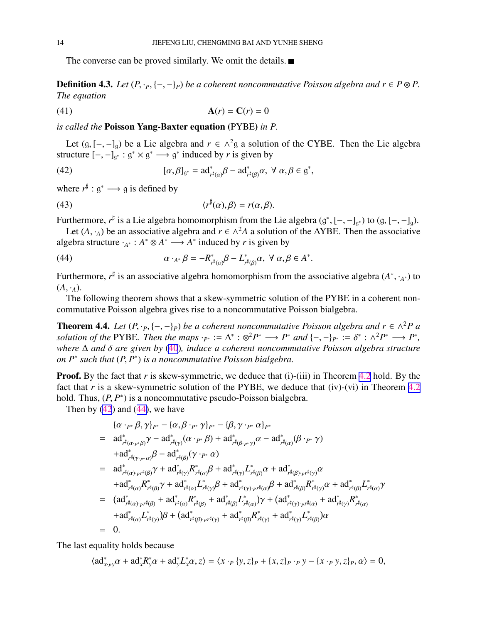<span id="page-13-0"></span>The converse can be proved similarly. We omit the details.  $\blacksquare$ 

**Definition 4.3.** *Let*  $(P, \cdot_P, \{-, -\}_P)$  *be a coherent noncommutative Poisson algebra and*  $r \in P \otimes P$ . *The equation*

$$
A(r) = C(r) = 0
$$

*is called the* Poisson Yang-Baxter equation (PYBE) *in P.*

Let  $(g, [-,-]_g)$  be a Lie algebra and  $r \in \wedge^2 g$  a solution of the CYBE. Then the Lie algebra structure  $[-, -]_{g^*}$  :  $g^* \times g^*$  →  $g^*$  induced by *r* is given by

(42) 
$$
[\alpha, \beta]_{\mathfrak{g}^*} = \mathrm{ad}^*_{r^{\sharp}(\alpha)} \beta - \mathrm{ad}^*_{r^{\sharp}(\beta)} \alpha, \ \forall \ \alpha, \beta \in \mathfrak{g}^*,
$$

where  $r^{\sharp}: g^* \longrightarrow g$  is defined by

(43) 
$$
\langle r^{\sharp}(\alpha), \beta \rangle = r(\alpha, \beta).
$$

Furthermore,  $r^{\sharp}$  is a Lie algebra homomorphism from the Lie algebra  $(g^*, [-, -]_{g^*})$  to  $(g, [-, -]_g)$ . Let  $(A, \cdot_A)$  be an associative algebra and  $r \in \wedge^2 A$  a solution of the AYBE. Then the associative

algebra structure  $·_{A^*}: A^* \otimes A^* \longrightarrow A^*$  induced by *r* is given by

(44) 
$$
\alpha \cdot_{A^*} \beta = -R_{r^{\sharp}(\alpha)}^* \beta - L_{r^{\sharp}(\beta)}^* \alpha, \ \forall \ \alpha, \beta \in A^*.
$$

Furthermore, *r*<sup>#</sup> is an associative algebra homomorphism from the associative algebra (*A*<sup>∗</sup>, ⋅<sub>*A*∗</sub>) to  $(A, \cdot_A)$ .

The following theorem shows that a skew-symmetric solution of the PYBE in a coherent noncommutative Poisson algebra gives rise to a noncommutative Poisson bialgebra.

**Theorem 4.4.** *Let*  $(P, \cdot_P, \{-, -\}_P)$  *be a coherent noncommutative Poisson algebra and*  $r \in \wedge^2 P$  *a solution of the* PYBE*. Then the maps*  $\cdot_{P^*} := \Delta^* : \otimes^2 P^* \longrightarrow P^*$  and  $\{-, -\}_{P^*} := \delta^* : \wedge^2 P^* \longrightarrow P^*$ , *where* ∆ *and* δ *are given by* [\(40](#page-12-0))*, induce a coherent noncommutative Poisson algebra structure on P*<sup>∗</sup> *such that* (*P*, *P* ∗ ) *is a noncommutative Poisson bialgebra.*

**Proof.** By the fact that *r* is skew-symmetric, we deduce that (i)-(iii) in Theorem [4.2](#page-12-0) hold. By the fact that  $r$  is a skew-symmetric solution of the PYBE, we deduce that (iv)-(vi) in Theorem  $4.2$ hold. Thus,  $(P, P^*)$  is a noncommutative pseudo-Poisson bialgebra.

Then by  $(42)$  and  $(44)$ , we have

$$
{\{\alpha \cdot_{P^*} \beta, \gamma\}_{P^*} - {\{\alpha, \beta \cdot_{P^*} \gamma\}_{P^*} - {\{\beta, \gamma \cdot_{P^*} \alpha\}_{P^*}}}
$$
\n
$$
= \text{ad}_{r^{\sharp}(\alpha \cdot_{P^*} \beta)}^* \gamma - \text{ad}_{r^{\sharp}(\gamma)}^* (\alpha \cdot_{P^*} \beta) + \text{ad}_{r^{\sharp}(\beta \cdot_{P^*} \gamma)}^* \alpha - \text{ad}_{r^{\sharp}(\alpha)}^* (\beta \cdot_{P^*} \gamma)
$$
\n
$$
+ \text{ad}_{r^{\sharp}(\gamma \cdot_{P^*} \alpha)}^* \beta - \text{ad}_{r^{\sharp}(\beta)}^* (\gamma \cdot_{P^*} \alpha)
$$
\n
$$
= \text{ad}_{r^{\sharp}(\alpha) \cdot_{P^{\sharp}(\beta)}}^* \gamma + \text{ad}_{r^{\sharp}(\gamma)}^* R_{r^{\sharp}(\alpha)}^* \beta + \text{ad}_{r^{\sharp}(\gamma)}^* L_{r^{\sharp}(\beta)}^* \alpha + \text{ad}_{r^{\sharp}(\beta) \cdot_{P^{\sharp}(\gamma)}}^* \alpha
$$
\n
$$
+ \text{ad}_{r^{\sharp}(\alpha) \cdot_{P^{\sharp}(\beta)}}^* \gamma + \text{ad}_{r^{\sharp}(\alpha)}^* L_{r^{\sharp}(\gamma)}^* \beta + \text{ad}_{r^{\sharp}(\gamma) \cdot_{P^{\sharp}(\alpha)}}^* \beta + \text{ad}_{r^{\sharp}(\beta)}^* R_{r^{\sharp}(\gamma)}^* \alpha + \text{ad}_{r^{\sharp}(\beta)}^* L_{r^{\sharp}(\alpha)}^* \gamma
$$
\n
$$
= (\text{ad}_{r^{\sharp}(\alpha) \cdot_{P^{\sharp}(\beta)}}^* + \text{ad}_{r^{\sharp}(\alpha)}^* R_{r^{\sharp}(\beta)}^* + \text{ad}_{r^{\sharp}(\beta)}^* L_{r^{\sharp}(\alpha)}^* \gamma + (\text{ad}_{r^{\sharp}(\gamma) \cdot_{P^{\sharp}(\alpha)}}^* + \text{ad}_{r^{\sharp}(\gamma)}^* R_{r^{\sharp}(\alpha)}^* )
$$
\n
$$
+ \text{ad}_{r^{\sharp}(\alpha)}^* L_{r^{\sharp}(\gamma)}^* \beta + (\text{ad}_{r^{\sharp}(\beta) \cdot_{P^{\sharp}(\gamma)}}^* + \text{ad}_{r
$$

The last equality holds because

$$
\langle \mathrm{ad}^*_{x \cdot p} \alpha + \mathrm{ad}^*_{x} R^*_{y} \alpha + \mathrm{ad}^*_{y} L^*_{x} \alpha, z \rangle = \langle x \cdot_{P} \{y, z\}_{P} + \{x, z\}_{P} \cdot_{P} y - \{x \cdot_{P} y, z\}_{P}, \alpha \rangle = 0,
$$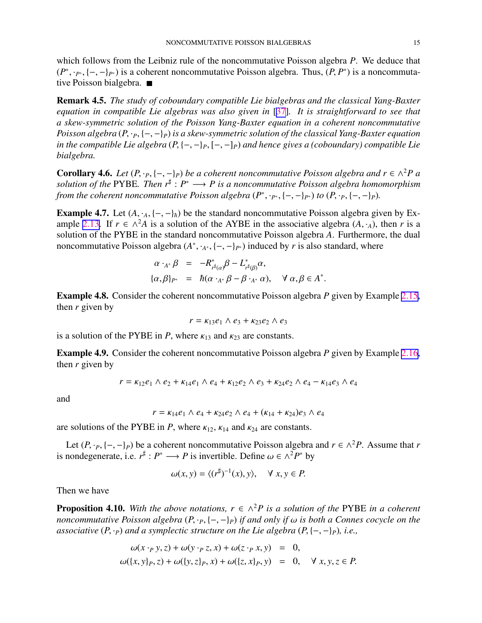<span id="page-14-0"></span>which follows from the Leibniz rule of the noncommutative Poisson algebra *P*. We deduce that  $(P^*, \cdot_{P^*}, \{-, -\}_{P^*})$  is a coherent noncommutative Poisson algebra. Thus,  $(P, P^*)$  is a noncommutative Poisson bialgebra.

Remark 4.5. *The study of coboundary compatible Lie bialgebras and the classical Yang-Baxter equation in compatible Lie algebras was also given in* [\[37](#page-23-0)]*. It is straightforward to see that a skew-symmetric solution of the Poisson Yang-Baxter equation in a coherent noncommutative Poisson algebra* (*P*, ·*P*, {−, −}*P*) *is a skew-symmetric solution of the classical Yang-Baxter equation in the compatible Lie algebra* (*P*, {−, −}*P*, [−, −]*P*) *and hence gives a (coboundary) compatible Lie bialgebra.*

**Corollary 4.6.** *Let*  $(P, \cdot_P, \{-, -\}_P)$  *be a coherent noncommutative Poisson algebra and*  $r \in \wedge^2 P$  *a* solution of the PYBE. Then  $r$ <sup>‡</sup> :  $P^$  → *P* is a noncommutative Poisson algebra homomorphism *from the coherent noncommutative Poisson algebra*  $(P^*, \cdot_{P^*}, \{-, -\}_{P^*})$  *to*  $(P, \cdot_P, \{-, -\}_P)$ *.* 

**Example 4.7.** Let  $(A, \cdot_A, \{-, -\}_h)$  be the standard noncommutative Poisson algebra given by Ex-ample [2.13](#page-6-0). If  $r \in \wedge^2 A$  is a solution of the AYBE in the associative algebra  $(A, \cdot_A)$ , then *r* is a solution of the PYBE in the standard noncommutative Poisson algebra *A*. Furthermore, the dual noncommutative Poisson algebra  $(A^*, \cdot_{A^*}, \{-, -\}_{P^*})$  induced by *r* is also standard, where

$$
\alpha \cdot_{A^*} \beta = -R^*_{r^{\sharp}(\alpha)} \beta - L^*_{r^{\sharp}(\beta)} \alpha,
$$
  

$$
\{\alpha, \beta\}_{P^*} = \hbar(\alpha \cdot_{A^*} \beta - \beta \cdot_{A^*} \alpha), \quad \forall \alpha, \beta \in A^*.
$$

Example 4.8. Consider the coherent noncommutative Poisson algebra *P* given by Example [2.15](#page-6-0), then *r* given by

$$
r = \kappa_{13}e_1 \wedge e_3 + \kappa_{23}e_2 \wedge e_3
$$

is a solution of the PYBE in *P*, where  $\kappa_{13}$  and  $\kappa_{23}$  are constants.

Example 4.9. Consider the coherent noncommutative Poisson algebra *P* given by Example [2.16](#page-6-0), then *r* given by

$$
r = \kappa_{12}e_1 \wedge e_2 + \kappa_{14}e_1 \wedge e_4 + \kappa_{12}e_2 \wedge e_3 + \kappa_{24}e_2 \wedge e_4 - \kappa_{14}e_3 \wedge e_4
$$

and

$$
r = \kappa_{14}e_1 \wedge e_4 + \kappa_{24}e_2 \wedge e_4 + (\kappa_{14} + \kappa_{24})e_3 \wedge e_4
$$

are solutions of the PYBE in *P*, where  $\kappa_{12}$ ,  $\kappa_{14}$  and  $\kappa_{24}$  are constants.

Let  $(P, \cdot_P, \{-, -\}_P)$  be a coherent noncommutative Poisson algebra and  $r \in \wedge^2 P$ . Assume that *r* is nondegenerate, i.e.  $r^{\sharp}: P^* \longrightarrow P$  is invertible. Define  $\omega \in \wedge^2 P^*$  by

$$
\omega(x, y) = \langle (r^{\sharp})^{-1}(x), y \rangle, \quad \forall x, y \in P.
$$

Then we have

**Proposition 4.10.** With the above notations,  $r \in \Lambda^2 P$  is a solution of the PYBE in a coherent *noncommutative Poisson algebra*  $(P, \cdot_P, \{-, -\}_P)$  *if and only if*  $\omega$  *is both a Connes cocycle on the associative*  $(P, \cdot_P)$  *and a symplectic structure on the Lie algebra*  $(P, \{-, -\}_P)$ *, i.e.,* 

$$
\omega(x \cdot_P y, z) + \omega(y \cdot_P z, x) + \omega(z \cdot_P x, y) = 0,
$$
  

$$
\omega(\{x, y\}_P, z) + \omega(\{y, z\}_P, x) + \omega(\{z, x\}_P, y) = 0, \quad \forall x, y, z \in P.
$$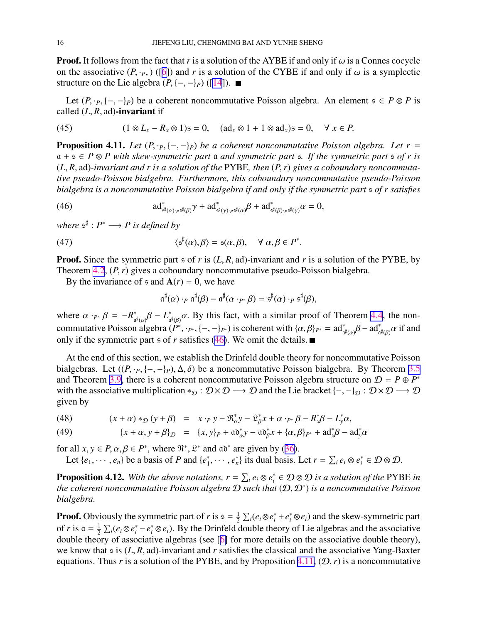<span id="page-15-0"></span>**Proof.** It follows from the fact that *r* is a solution of the AYBE if and only if  $\omega$  is a Connes cocycle on the associative  $(P, \cdot_P)$  ([[6\]](#page-22-0)) and *r* is a solution of the CYBE if and only if  $\omega$  is a symplectic structure on the Lie algebra  $(P, \{-, -\}_P)$  ([\[14](#page-22-0)]). ■

Let  $(P, \cdot_P, \{-, -\}_P)$  be a coherent noncommutative Poisson algebra. An element  $s \in P \otimes P$  is called  $(L, R, ad)$ -invariant if

(45) 
$$
(1 \otimes L_x - R_x \otimes 1) = 0, \quad (ad_x \otimes 1 + 1 \otimes ad_x) = 0, \quad \forall x \in P.
$$

**Proposition 4.11.** Let  $(P, \cdot_P, \{-, -\}_P)$  be a coherent noncommutative Poisson algebra. Let  $r =$ a + s ∈ *P* ⊗ *P with skew-symmetric part* a *and symmetric part* s*. If the symmetric part* s *of r is* (*L*, *R*, ad)*-invariant and r is a solution of the* PYBE*, then* (*P*,*r*) *gives a coboundary noncommutative pseudo-Poisson bialgebra. Furthermore, this coboundary noncommutative pseudo-Poisson bialgebra is a noncommutative Poisson bialgebra if and only if the symmetric part* s *of r satisfies*

(46) 
$$
\mathrm{ad}^*_{\mathfrak{s}^{\sharp}(\alpha)\cdot P\mathfrak{s}^{\sharp}(\beta)}\gamma + \mathrm{ad}^*_{\mathfrak{s}^{\sharp}(\gamma)\cdot P\mathfrak{s}^{\sharp}(\alpha)}\beta + \mathrm{ad}^*_{\mathfrak{s}^{\sharp}(\beta)\cdot P\mathfrak{s}^{\sharp}(\gamma)}\alpha = 0,
$$

where  $\mathfrak{s}^{\sharp}: P^* \longrightarrow P$  is defined by

(47) 
$$
\langle \mathfrak{s}^{\sharp}(\alpha), \beta \rangle = \mathfrak{s}(\alpha, \beta), \quad \forall \alpha, \beta \in P^{*}.
$$

Proof. Since the symmetric part s of *r* is (*L*, *R*, ad)-invariant and *r* is a solution of the PYBE, by Theorem [4.2](#page-12-0), (*P*,*r*) gives a coboundary noncommutative pseudo-Poisson bialgebra.

By the invariance of  $\epsilon$  and  $A(r) = 0$ , we have

$$
\mathfrak{a}^{\sharp}(\alpha) \cdot_{P} \mathfrak{a}^{\sharp}(\beta) - \mathfrak{a}^{\sharp}(\alpha \cdot_{P^{*}} \beta) = \mathfrak{s}^{\sharp}(\alpha) \cdot_{P} \mathfrak{s}^{\sharp}(\beta),
$$

where  $\alpha \cdot_{P^*} \beta = -R^*$  $\int_{\alpha^{\sharp}(\alpha)}^{\ast} \beta - L_{\alpha}^*$  $\int_{\alpha^{\sharp}(\beta)}^{\infty} \alpha$ . By this fact, with a similar proof of Theorem [4.4](#page-13-0), the noncommutative Poisson algebra  $(P^*, \cdot_{P^*}, \{-, -\}_{P^*})$  is coherent with  $\{\alpha, \beta\}_{P^*} = \text{ad}^*_{\alpha^{\sharp}(\alpha)} \beta - \text{ad}^*_{\alpha^{\sharp}(\beta)} \alpha$  if and only if the symmetric part  $\frac{1}{2}$  of *r* satisfies (46). We omit the details.

At the end of this section, we establish the Drinfeld double theory for noncommutative Poisson bialgebras. Let  $((P, \cdot_P, \{-, -\}_P), \Delta, \delta)$  be a noncommutative Poisson bialgebra. By Theorem [3.5](#page-9-0) and Theorem [3.9](#page-10-0), there is a coherent noncommutative Poisson algebra structure on  $\mathcal{D} = P \oplus P^*$ with the associative multiplication \* $\mathcal{D}: \mathcal{D} \times \mathcal{D} \longrightarrow \mathcal{D}$  and the Lie bracket {-, -} $\mathcal{D}: \mathcal{D} \times \mathcal{D} \longrightarrow \mathcal{D}$ given by

 $(x + \alpha) *_{\mathcal{D}} (y + \beta) = x \cdot_{P} y - \Re_{\alpha}^{*}$  $\alpha^* y - \mathfrak{L}^*_{\beta}$ (48)  $(x + \alpha) *_{\mathcal{D}} (y + \beta) = x \cdot_{P} y - \Re_{\alpha}^{*} y - \Re_{\beta}^{*} x + \alpha \cdot_{P^{*}} \beta - R_{\gamma}^{*} \beta - L_{y}^{*} \alpha,$ 

(49) 
$$
\{x + \alpha, y + \beta\}_{\mathcal{D}} = \{x, y\}_{P} + a\delta_{\alpha}^{*}y - a\delta_{\beta}^{*}x + \{\alpha, \beta\}_{P^{*}} + a\delta_{\beta}^{*}\beta - a\delta_{\beta}^{*}\alpha
$$

for all  $x, y \in P$ ,  $\alpha, \beta \in P^*$ , where  $\mathfrak{R}^*, \mathfrak{L}^*$  and  $\mathfrak{a} \mathfrak{d}^*$  are given by ([36\)](#page-11-0). Let  $\{e_1, \dots, e_n\}$  be a basis of *P* and  $\{e_1^*\}$  $\{e_i^*, \cdots, e_n^*\}$  its dual basis. Let  $r = \sum_i e_i \otimes e_i^*$ *i* ∈ D ⊗ D.

**Proposition 4.12.** With the above notations,  $r = \sum_i e_i \otimes e_i^*$ *i* ∈ D ⊗ D *is a solution of the* PYBE *in the coherent noncommutative Poisson algebra* D *such that* (D, D<sup>∗</sup> ) *is a noncommutative Poisson bialgebra.*

**Proof.** Obviously the symmetric part of *r* is  $s = \frac{1}{2}$  $\frac{1}{2} \sum_i (e_i \otimes e_i^* + e_i^* \otimes e_i)$  and the skew-symmetric part of *r* is  $a = \frac{1}{2}$  $\frac{1}{2}$  ∑<sub>*i*</sub>( $e_i \otimes e_i^* - e_i^* \otimes e_i$ ). By the Drinfeld double theory of Lie algebras and the associative double theory of associative algebras (see [[6\]](#page-22-0) for more details on the associative double theory), we know that s is (*L*, *R*, ad)-invariant and *r* satisfies the classical and the associative Yang-Baxter equations. Thus *r* is a solution of the PYBE, and by Proposition 4.11,  $(D, r)$  is a noncommutative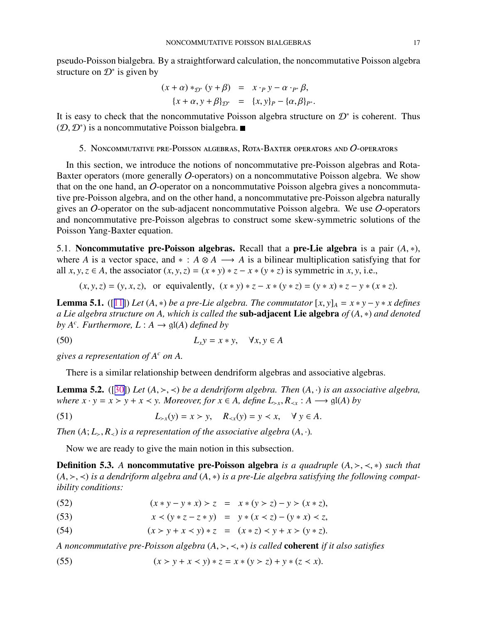<span id="page-16-0"></span>pseudo-Poisson bialgebra. By a straightforward calculation, the noncommutative Poisson algebra structure on  $\mathcal{D}^*$  is given by

$$
(x+\alpha)*_{\mathcal{D}^*}(y+\beta) = x \cdot_{P} y - \alpha \cdot_{P^*} \beta,
$$
  

$$
\{x+\alpha, y+\beta\}_{\mathcal{D}^*} = \{x, y\}_{P} - \{\alpha, \beta\}_{P^*}.
$$

It is easy to check that the noncommutative Poisson algebra structure on  $\mathcal{D}^*$  is coherent. Thus  $(D, D^*)$  is a noncommutative Poisson bialgebra.

5. Noncommutative pre-Poisson algebras, Rota-Baxter operators and O-operators

In this section, we introduce the notions of noncommutative pre-Poisson algebras and Rota-Baxter operators (more generally O-operators) on a noncommutative Poisson algebra. We show that on the one hand, an O-operator on a noncommutative Poisson algebra gives a noncommutative pre-Poisson algebra, and on the other hand, a noncommutative pre-Poisson algebra naturally gives an O-operator on the sub-adjacent noncommutative Poisson algebra. We use O-operators and noncommutative pre-Poisson algebras to construct some skew-symmetric solutions of the Poisson Yang-Baxter equation.

5.1. **Noncommutative pre-Poisson algebras.** Recall that a **pre-Lie algebra** is a pair  $(A, *)$ , where *A* is a vector space, and  $* : A \otimes A \longrightarrow A$  is a bilinear multiplication satisfying that for all  $x, y, z \in A$ , the associator  $(x, y, z) = (x * y) * z - x * (y * z)$  is symmetric in  $x, y$ , i.e.,

$$
(x, y, z) = (y, x, z)
$$
, or equivalently,  $(x * y) * z - x * (y * z) = (y * x) * z - y * (x * z)$ .

**Lemma 5.1.** ([[11\]](#page-22-0)) *Let* (*A*,  $*$ ) *be a pre-Lie algebra. The commutator*  $[x, y]_A = x * y - y * x$  *defines a Lie algebra structure on A, which is called the* sub-adjacent Lie algebra *of* (*A*, ∗) *and denoted by*  $A^c$ *. Furthermore,*  $L: A \rightarrow \mathfrak{gl}(A)$  *defined by* 

(50)  $L_x y = x * y, \quad \forall x, y \in A$ 

*gives a representation of A<sup>c</sup> on A.*

There is a similar relationship between dendriform algebras and associative algebras.

**Lemma 5.2.** ([[30\]](#page-23-0)) *Let*  $(A, \gt, \lt)$  *be a dendriform algebra. Then*  $(A, \cdot)$  *is an associative algebra, where*  $x \cdot y = x > y + x < y$ . *Moreover, for*  $x \in A$ *, define*  $L_{\geq x}$ *,*  $R_{\leq x} : A \longrightarrow \mathfrak{gl}(A)$  *by* 

(51) 
$$
L_{\geq x}(y) = x > y, \quad R_{\leq x}(y) = y < x, \quad \forall y \in A.
$$

*Then*  $(A; L_{>}, R_{<})$  *is a representation of the associative algebra*  $(A, \cdot)$ *.* 

Now we are ready to give the main notion in this subsection.

Definition 5.3. *A* noncommutative pre-Poisson algebra *is a quadruple* (*A*, ≻, ≺, ∗) *such that* (*A*, ≻, ≺) *is a dendriform algebra and* (*A*, ∗) *is a pre-Lie algebra satisfying the following compatibility conditions:*

(52)  $(x * y - y * x) > z = x * (y > z) - y > (x * z),$ 

(53)  $x < (y * z - z * y) = y * (x < z) - (y * x) < z$ 

(54) 
$$
(x > y + x < y) * z = (x * z) < y + x > (y * z).
$$

*A noncommutative pre-Poisson algebra* (*A*, ≻, ≺, ∗) *is called* coherent *if it also satisfies*

(55) 
$$
(x > y + x < y) * z = x * (y > z) + y * (z < x).
$$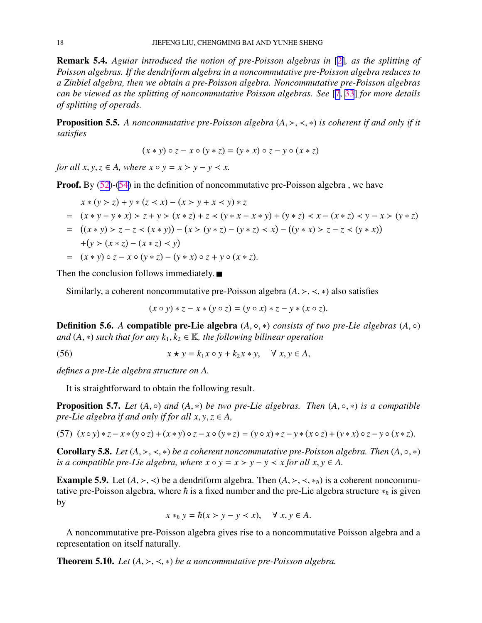<span id="page-17-0"></span>Remark 5.4. *Aguiar introduced the notion of pre-Poisson algebras in* [[2\]](#page-22-0)*, as the splitting of Poisson algebras. If the dendriform algebra in a noncommutative pre-Poisson algebra reduces to a Zinbiel algebra, then we obtain a pre-Poisson algebra. Noncommutative pre-Poisson algebras can be viewed as the splitting of noncommutative Poisson algebras. See* [\[7](#page-22-0), [33](#page-23-0)] *for more details of splitting of operads.*

Proposition 5.5. *A noncommutative pre-Poisson algebra* (*A*, ≻, ≺, ∗) *is coherent if and only if it satisfies*

$$
(x * y) \circ z - x \circ (y * z) = (y * x) \circ z - y \circ (x * z)
$$

*for all x, y, z*  $\in$  *A, where x*  $\circ$  *y* = *x* > *y* - *y*  $\lt$  *x.* 

Proof. By [\(52](#page-16-0))-([54\)](#page-16-0) in the definition of noncommutative pre-Poisson algebra, we have

$$
x * (y > z) + y * (z < x) - (x > y + x < y) * z
$$
  
=  $(x * y - y * x) > z + y > (x * z) + z < (y * x - x * y) + (y * z) < x - (x * z) < y - x > (y * z)$   
=  $((x * y) > z - z < (x * y)) - (x > (y * z) - (y * z) < x) - ((y * x) > z - z < (y * x))$   
+  $(y > (x * z) - (x * z) < y)$   
=  $(x * y) \circ z - x \circ (y * z) - (y * x) \circ z + y \circ (x * z).$ 

Then the conclusion follows immediately.  $\blacksquare$ 

Similarly, a coherent noncommutative pre-Poisson algebra  $(A, \geq, \leq, *)$  also satisfies

 $(x \circ y) * z - x * (y \circ z) = (y \circ x) * z - y * (x \circ z).$ 

**Definition 5.6.** A **compatible pre-Lie algebra**  $(A, \circ, *)$  *consists of two pre-Lie algebras*  $(A, \circ)$ *and*  $(A, *)$  *such that for any*  $k_1, k_2 \in \mathbb{K}$ *, the following bilinear operation* 

(56)  $x \star y = k_1 x \circ y + k_2 x * y, \quad \forall x, y \in A,$ 

*defines a pre-Lie algebra structure on A.*

It is straightforward to obtain the following result.

**Proposition 5.7.** *Let*  $(A, \circ)$  *and*  $(A, *)$  *be two pre-Lie algebras. Then*  $(A, \circ, *)$  *is a compatible pre-Lie algebra if and only if for all*  $x, y, z \in A$ *,* 

(57) 
$$
(x \circ y) * z - x * (y \circ z) + (x * y) \circ z - x \circ (y * z) = (y \circ x) * z - y * (x \circ z) + (y * x) \circ z - y \circ (x * z)
$$
.

**Corollary 5.8.** *Let*  $(A, \succ, \prec, *)$  *be a coherent noncommutative pre-Poisson algebra. Then*  $(A, \circ, *)$ *is a compatible pre-Lie algebra, where*  $x \circ y = x \succ y - y \prec x$  *for all*  $x, y \in A$ .

**Example 5.9.** Let  $(A, \geq, \leq)$  be a dendriform algebra. Then  $(A, \geq, \leq, *_h)$  is a coherent noncommutative pre-Poisson algebra, where  $\hbar$  is a fixed number and the pre-Lie algebra structure  $*_\hbar$  is given by

$$
x *_{\hbar} y = \hbar(x > y - y < x), \quad \forall x, y \in A.
$$

A noncommutative pre-Poisson algebra gives rise to a noncommutative Poisson algebra and a representation on itself naturally.

**Theorem 5.10.** *Let*  $(A, \succ, \prec, *)$  *be a noncommutative pre-Poisson algebra.*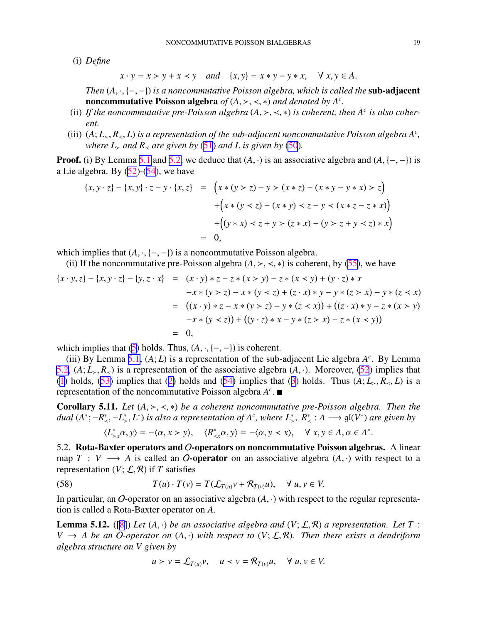<span id="page-18-0"></span>(i) *Define*

$$
x \cdot y = x > y + x < y \quad and \quad \{x, y\} = x * y - y * x, \quad \forall x, y \in A.
$$

*Then* (*A*, ·, {−,−}) *is a noncommutative Poisson algebra, which is called the* **sub-adjacent** noncommutative Poisson algebra  $of (A, \gt, \lt, *)$  and denoted by  $A^c$ .

- (ii) If the noncommutative pre-Poisson algebra  $(A, \gt, \lt, *)$  is coherent, then  $A^c$  is also coher*ent.*
- (iii)  $(A; L_>, R_*, L)$  *is a representation of the sub-adjacent noncommutative Poisson algebra*  $A^c$ , *where*  $L_>$  *and*  $R_>$  *are given by* [\(51](#page-16-0)) *and*  $L$  *is given by* [\(50](#page-16-0))*.*

**Proof.** (i) By Lemma [5.1](#page-16-0) and [5.2,](#page-16-0) we deduce that  $(A, \cdot)$  is an associative algebra and  $(A, \{-, -\})$  is a Lie algebra. By  $(52)$  $(52)$ - $(54)$  $(54)$ , we have

$$
\{x, y \cdot z\} - \{x, y\} \cdot z - y \cdot \{x, z\} = \left(x * (y > z) - y > (x * z) - (x * y - y * x) > z\right) \\
+ \left(x * (y < z) - (x * y) < z - y < (x * z - z * x)\right) \\
+ \left((y * x) < z + y > (z * x) - (y > z + y < z) * x\right) \\
= 0,
$$

which implies that  $(A, \cdot, \{-, -\})$  is a noncommutative Poisson algebra.

(ii) If the noncommutative pre-Poisson algebra  $(A, \geq, \leq, *)$  is coherent, by ([55\)](#page-16-0), we have

$$
\{x \cdot y, z\} - \{x, y \cdot z\} - \{y, z \cdot x\} = (x \cdot y) * z - z * (x > y) - z * (x < y) + (y \cdot z) * x
$$
  
\n
$$
-x * (y > z) - x * (y < z) + (z \cdot x) * y - y * (z > x) - y * (z < x)
$$
  
\n
$$
= ((x \cdot y) * z - x * (y > z) - y * (z < x)) + ((z \cdot x) * y - z * (x > y)
$$
  
\n
$$
-x * (y < z)) + ((y \cdot z) * x - y * (z > x) - z * (x < y))
$$
  
\n
$$
= 0,
$$

which implies that  $(5)$  $(5)$  holds. Thus,  $(A, \cdot, \{-, -\})$  is coherent.

(iii) By Lemma [5.1,](#page-16-0)  $(A; L)$  is a representation of the sub-adjacent Lie algebra  $A<sup>c</sup>$ . By Lemma [5.2](#page-16-0),  $(A; L_>, R_>)$  is a representation of the associative algebra  $(A, \cdot)$ . Moreover, [\(52](#page-16-0)) implies that ([1\)](#page-4-0) holds,  $(53)$  $(53)$  implies that  $(2)$  $(2)$  holds and  $(54)$  $(54)$  implies that  $(3)$  $(3)$  holds. Thus  $(A; L_>, R_>, L)$  is a representation of the noncommutative Poisson algebra *A c* .

Corollary 5.11. *Let* (*A*, ≻, ≺, ∗) *be a coherent noncommutative pre-Poisson algebra. Then the dual*  $(A^*; -R^*_{\le}, -L^*_{>}, L^*)$  *is also a representation of*  $A^c$ *, where*  $L^*_{\ge}$ *,*  $R^*_{\le}$  :  $A \longrightarrow$   $\mathfrak{gl}(V^*)$  are given by

$$
\langle L_{\geq x}^*\alpha, y \rangle = -\langle \alpha, x \rangle y \rangle, \quad \langle R_{\leq x}^*\alpha, y \rangle = -\langle \alpha, y \langle x \rangle, \quad \forall \ x, y \in A, \alpha \in A^*.
$$

5.2. Rota-Baxter operators and O-operators on noncommutative Poisson algebras. A linear map  $T : V \longrightarrow A$  is called an O-operator on an associative algebra  $(A, \cdot)$  with respect to a representation  $(V; \mathcal{L}, \mathcal{R})$  if T satisfies

(58) 
$$
T(u) \cdot T(v) = T(\mathcal{L}_{T(u)}v + \mathcal{R}_{T(v)}u), \quad \forall u, v \in V.
$$

In particular, an O-operator on an associative algebra  $(A, \cdot)$  with respect to the regular representation is called a Rota-Baxter operator on *A*.

**Lemma 5.12.** ([[8](#page-22-0)]) Let  $(A, \cdot)$  be an associative algebra and  $(V; \mathcal{L}, \mathcal{R})$  a representation. Let T:  $V \rightarrow A$  *be an* O-operator on  $(A, \cdot)$  *with respect to*  $(V; \mathcal{L}, \mathcal{R})$ *. Then there exists a dendriform algebra structure on V given by*

$$
u > v = \mathcal{L}_{T(u)}v, \quad u < v = \mathcal{R}_{T(v)}u, \quad \forall u, v \in V.
$$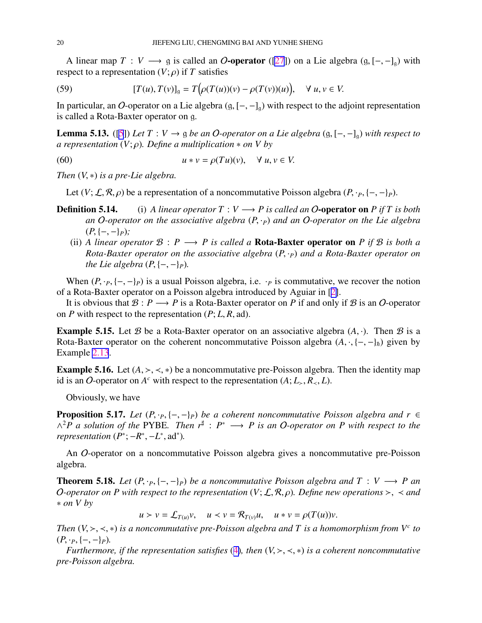<span id="page-19-0"></span>A linear map  $T: V \longrightarrow$  g is called an O-operator ([\[27](#page-23-0)]) on a Lie algebra (g,  $[-,-]_q$ ) with respect to a representation  $(V; \rho)$  if *T* satisfies

(59) 
$$
[T(u), T(v)]_g = T(\rho(T(u))(v) - \rho(T(v))(u)), \quad \forall \ u, v \in V.
$$

In particular, an O-operator on a Lie algebra  $(g, [-,-]_g)$  with respect to the adjoint representation is called a Rota-Baxter operator on g.

**Lemma 5.13.** ([\[5](#page-22-0)]) *Let*  $T: V \rightarrow \emptyset$  *be an O-operator on a Lie algebra* ( $\emptyset$ , [−, −]<sub> $\emptyset$ </sub>) *with respect to a representation* (*V*; ρ)*. Define a multiplication* ∗ *on V by*

(60) 
$$
u * v = \rho(Tu)(v), \quad \forall u, v \in V.
$$

*Then* (*V*, ∗) *is a pre-Lie algebra.*

Let  $(V; \mathcal{L}, \mathcal{R}, \rho)$  be a representation of a noncommutative Poisson algebra  $(P, \cdot_P, \{-, -\}_P)$ .

- **Definition 5.14.** (i) *A linear operator*  $T : V \rightarrow P$  *is called an O*-operator on *P if*  $T$  *is both an* O*-operator on the associative algebra* (*P*, ·*P*) *and an* O*-operator on the Lie algebra* (*P*, {−, −}*P*)*;*
	- (ii) *A linear operator*  $\mathcal{B}: P \longrightarrow P$  *is called a* **Rota-Baxter operator on** *P if*  $\mathcal{B}$  *is both a Rota-Baxter operator on the associative algebra* (*P*, ·*P*) *and a Rota-Baxter operator on the Lie algebra*  $(P, \{-, -\}_P)$ *.*

When  $(P, \cdot_P, \{-, -\}_P)$  is a usual Poisson algebra, i.e.  $\cdot_P$  is commutative, we recover the notion of a Rota-Baxter operator on a Poisson algebra introduced by Aguiar in [[2\]](#page-22-0).

It is obvious that  $\mathcal{B}: P \longrightarrow P$  is a Rota-Baxter operator on *P* if and only if  $\mathcal{B}$  is an *O*-operator on *P* with respect to the representation  $(P; L, R, ad)$ .

**Example 5.15.** Let B be a Rota-Baxter operator on an associative algebra  $(A, \cdot)$ . Then B is a Rota-Baxter operator on the coherent noncommutative Poisson algebra  $(A, \cdot, \{-, -\}_h)$  given by Example [2.13](#page-6-0).

**Example 5.16.** Let  $(A, \geq, \leq, *)$  be a noncommutative pre-Poisson algebra. Then the identity map id is an O-operator on  $A^c$  with respect to the representation  $(A; L_>, R_>, L)$ .

Obviously, we have

**Proposition 5.17.** *Let*  $(P, \cdot_P, \{-, -\}_P)$  *be a coherent noncommutative Poisson algebra and r* ∈ ∧ <sup>2</sup>*P a solution of the* PYBE*. Then r*<sup>♯</sup> : *P* <sup>∗</sup> −→ *P is an* O*-operator on P with respect to the representation*  $(P^*; -R^*, -L^*, ad^*).$ 

An O-operator on a noncommutative Poisson algebra gives a noncommutative pre-Poisson algebra.

**Theorem 5.18.** *Let*  $(P, \cdot_P, \{-, -\}_P)$  *be a noncommutative Poisson algebra and*  $T : V \longrightarrow P$  *an O*-operator on P with respect to the representation  $(V; \mathcal{L}, \mathcal{R}, \rho)$ *. Define new operations* >, < *and* ∗ *on V by*

 $u > v = \mathcal{L}_{T(u)}v$ ,  $u < v = \mathcal{R}_{T(v)}u$ ,  $u * v = \rho(T(u))v$ .

*Then*  $(V, \gt, \lt, \lt, *)$  *is a noncommutative pre-Poisson algebra and* T *is a homomorphism from*  $V^c$  *to*  $(P, \cdot_P, \{-, -\}_P).$ 

*Furthermore, if the representation satisfies* ([4\)](#page-5-0)*, then* (*V*, ≻, ≺, ∗) *is a coherent noncommutative pre-Poisson algebra.*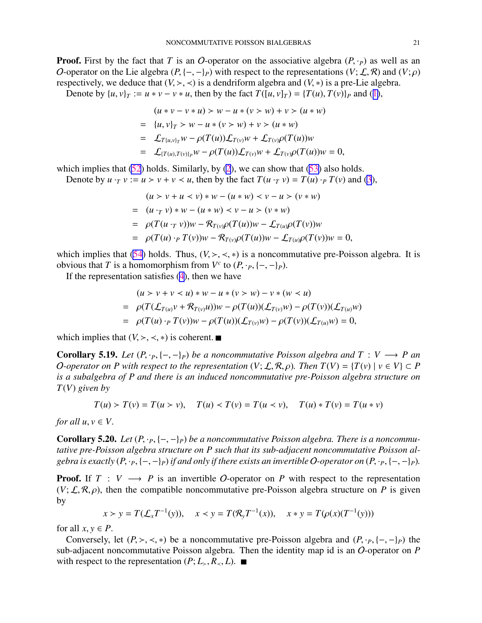**Proof.** First by the fact that *T* is an *O*-operator on the associative algebra  $(P, \cdot_P)$  as well as an O-operator on the Lie algebra  $(P, \{-, -\}_P)$  with respect to the representations  $(V; \mathcal{L}, \mathcal{R})$  and  $(V; \rho)$ respectively, we deduce that  $(V, \geq, \leq)$  is a dendriform algebra and  $(V, *)$  is a pre-Lie algebra.

Denote by  $\{u, v\}_T := u * v - v * u$ , then by the fact  $T([u, v]_T) = \{T(u), T(v)\}_P$  and ([1\)](#page-4-0),

$$
(u * v - v * u) > w - u * (v > w) + v > (u * w)
$$
  
= {u, v}<sub>T</sub> > w - u \* (v > w) + v > (u \* w)  
=  $\mathcal{L}_{T\{u,v\}_T}w - \rho(T(u))\mathcal{L}_{T(v)}w + \mathcal{L}_{T(v)}\rho(T(u))w$   
=  $\mathcal{L}_{\{T(u), T(v)\}_P}w - \rho(T(u))\mathcal{L}_{T(v)}w + \mathcal{L}_{T(v)}\rho(T(u))w = 0,$ 

which implies that  $(52)$  $(52)$  holds. Similarly, by  $(2)$  $(2)$ , we can show that  $(53)$  $(53)$  also holds.

Denote by  $u \cdot_T v := u > v + v < u$ , then by the fact  $T(u \cdot_T v) = T(u) \cdot_P T(v)$  and [\(3](#page-4-0)),

$$
(u > v + u < v) * w - (u * w) < v - u > (v * w)
$$
  
=  $(u \cdot_T v) * w - (u * w) < v - u > (v * w)$   
=  $\rho(T(u \cdot_T v))w - R_{T(v)}\rho(T(u))w - \mathcal{L}_{T(u)}\rho(T(v))w$   
=  $\rho(T(u) \cdot_P T(v))w - R_{T(v)}\rho(T(u))w - \mathcal{L}_{T(u)}\rho(T(v))w = 0,$ 

which implies that [\(54](#page-16-0)) holds. Thus,  $(V, \succ, \prec, *)$  is a noncommutative pre-Poisson algebra. It is obvious that *T* is a homomorphism from  $V^c$  to  $(P, \cdot_P, \{-, -\}_P)$ .

If the representation satisfies  $(4)$  $(4)$ , then we have

$$
(u > v + v < u) * w - u * (v > w) - v * (w < u)
$$
  
=  $\rho(T(\mathcal{L}_{T(u)}v + \mathcal{R}_{T(v)}u))w - \rho(T(u))(\mathcal{L}_{T(v)}w) - \rho(T(v))(\mathcal{L}_{T(u)}w)$   
=  $\rho(T(u) \cdot_{P} T(v))w - \rho(T(u))(\mathcal{L}_{T(v)}w) - \rho(T(v))(\mathcal{L}_{T(u)}w) = 0,$ 

which implies that  $(V, \geq, \leq, *)$  is coherent. ■

**Corollary 5.19.** *Let*  $(P, \cdot_P, \{-, -\}_P)$  *be a noncommutative Poisson algebra and*  $T : V \longrightarrow P$  *an O*-operator on P with respect to the representation  $(V; \mathcal{L}, \mathcal{R}, \rho)$ . Then  $T(V) = {T(v) | v \in V} \subset P$ *is a subalgebra of P and there is an induced noncommutative pre-Poisson algebra structure on T*(*V*) *given by*

$$
T(u) > T(v) = T(u > v), \quad T(u) < T(v) = T(u < v), \quad T(u) * T(v) = T(u * v)
$$

*for all*  $u, v \in V$ .

**Corollary 5.20.** *Let*  $(P, \cdot_P, \{-, -\}_P)$  *be a noncommutative Poisson algebra. There is a noncommutative pre-Poisson algebra structure on P such that its sub-adjacent noncommutative Poisson algebra is exactly*  $(P, \cdot_P, \{-, -\}_P)$  *if and only if there exists an invertible* O-operator on  $(P, \cdot_P, \{-, -\}_P)$ *.* 

**Proof.** If  $T : V \longrightarrow P$  is an invertible O-operator on P with respect to the representation  $(V; \mathcal{L}, \mathcal{R}, \rho)$ , then the compatible noncommutative pre-Poisson algebra structure on *P* is given by

$$
x > y = T(\mathcal{L}_x T^{-1}(y)), \quad x < y = T(\mathcal{R}_y T^{-1}(x)), \quad x * y = T(\rho(x)(T^{-1}(y)))
$$

for all  $x, y \in P$ .

Conversely, let  $(P, \succ, \prec, *)$  be a noncommutative pre-Poisson algebra and  $(P, \cdot_P, \{-, -\}P)$  the sub-adjacent noncommutative Poisson algebra. Then the identity map id is an O-operator on *P* with respect to the representation  $(P; L_>, R_ ≤, L)$ . ■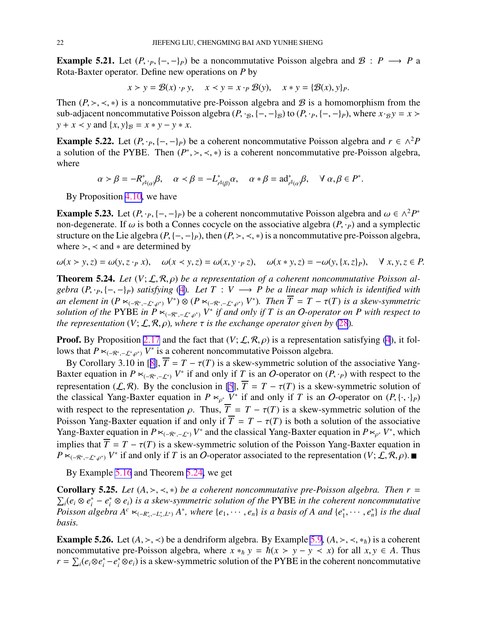<span id="page-21-0"></span>**Example 5.21.** Let  $(P, \cdot_P, \{-, -\}P)$  be a noncommutative Poisson algebra and  $\mathcal{B}: P \longrightarrow P$  a Rota-Baxter operator. Define new operations on *P* by

$$
x > y = \mathcal{B}(x) \cdot_P y, \quad x < y = x \cdot_P \mathcal{B}(y), \quad x * y = \{\mathcal{B}(x), y\}_P.
$$

Then  $(P, \geq, \leq, *)$  is a noncommutative pre-Poisson algebra and B is a homomorphism from the sub-adjacent noncommutative Poisson algebra  $(P, \cdot_B, \{-, -\}_B)$  to  $(P, \cdot_P, \{-, -\}_P)$ , where  $x \cdot_B y = x >$ *y* + *x* < *y* and  $\{x, y\}_B = x * y - y * x$ .

**Example 5.22.** Let  $(P, \cdot_P, \{-,-\}_P)$  be a coherent noncommutative Poisson algebra and  $r \in \wedge^2 P$ a solution of the PYBE. Then  $(P^*, \geq, \leq, *)$  is a coherent noncommutative pre-Poisson algebra, where

> $\alpha > \beta = -R^*$ <sup>\*</sup><sub> $r^{\sharp}(\alpha)}\beta$ ,  $\alpha < \beta = -L_r^*$ </sub>  $r^*_{r^{\sharp}(\beta)}\alpha$ ,  $\alpha * \beta = \mathrm{ad}^*_{r^{\sharp}(\alpha)}\beta$ ,  $\forall \alpha, \beta \in P^*$ .

By Proposition [4.10](#page-14-0), we have

**Example 5.23.** Let  $(P, \cdot_P, \{-, -\}_P)$  be a coherent noncommutative Poisson algebra and  $\omega \in \wedge^2 P^*$ non-degenerate. If  $\omega$  is both a Connes cocycle on the associative algebra  $(P, \cdot_P)$  and a symplectic structure on the Lie algebra  $(P, \{-, -\}P)$ , then  $(P, \succ, \prec, *)$  is a noncommutative pre-Poisson algebra, where  $>$ ,  $\lt$  and  $*$  are determined by

$$
\omega(x \succ y, z) = \omega(y, z \cdot_P x), \quad \omega(x \prec y, z) = \omega(x, y \cdot_P z), \quad \omega(x * y, z) = -\omega(y, \{x, z\}_P), \quad \forall x, y, z \in P.
$$

**Theorem 5.24.** Let  $(V; \mathcal{L}, \mathcal{R}, \rho)$  be a representation of a coherent noncommutative Poisson al*gebra*  $(P, \cdot_P, \{-, -\}_P)$  *satisfying* [\(4](#page-5-0))*.* Let  $T : V \longrightarrow P$  be a linear map which is identified with *an element in*  $(P \ltimes_{(-R^*, -\mathcal{L}^*, \rho^*)} V^*) \otimes (P \ltimes_{(-R^*, -\mathcal{L}^*, \rho^*)} V^*)$ . Then  $\overline{T} = T - \tau(T)$  is a skew-symmetric *solution of the* PYBE *in*  $P \lt_{(-R^*, -L^*, \rho^*)} V^*$  *if and only if* T *is an* O-operator on P with respect to *the representation*  $(V; \mathcal{L}, \mathcal{R}, \rho)$ *, where*  $\tau$  *is the exchange operator given by* [\(28](#page-10-0))*.* 

**Proof.** By Proposition [2.17](#page-6-0) and the fact that  $(V; \mathcal{L}, \mathcal{R}, \rho)$  is a representation satisfying [\(4](#page-5-0)), it follows that  $P \ltimes_{(-R^*, -\mathcal{L}^*, \rho^*)} V^*$  is a coherent noncommutative Poisson algebra.

By Corollary 3.10 in [[8\]](#page-22-0),  $\overline{T} = T - \tau(T)$  is a skew-symmetric solution of the associative Yang-Baxter equation in  $P \lt \_{(-R^*, -\mathcal{L}^*)} V^*$  if and only if *T* is an O-operator on  $(P, \cdot_P)$  with respect to the representation (*L*, *R*). By the conclusion in [\[5](#page-22-0)],  $\overline{T} = T - \tau(T)$  is a skew-symmetric solution of the classical Yang-Baxter equation in  $P \lt_{p^*} V^*$  if and only if *T* is an O-operator on  $(P, \{\cdot, \cdot\}_P)$ with respect to the representation  $\rho$ . Thus,  $\overline{T} = T - \tau(T)$  is a skew-symmetric solution of the Poisson Yang-Baxter equation if and only if  $\overline{T} = T - \tau(T)$  is both a solution of the associative Yang-Baxter equation in  $P \lt \left(\frac{R^* - L^*}{R^* - L^*}\right) V^*$  and the classical Yang-Baxter equation in  $P \lt \left(\frac{R^* - L^*}{R^* - L^*}\right)$ implies that  $\overline{T} = T - \tau(T)$  is a skew-symmetric solution of the Poisson Yang-Baxter equation in  $P \lt \sim_{(-\mathcal{R}^*, -\mathcal{L}^*, \rho^*)} V^*$  if and only if *T* is an O-operator associated to the representation (*V*;  $\mathcal{L}, \mathcal{R}, \rho$ ).

By Example [5.16](#page-19-0) and Theorem 5.24, we get

**Corollary 5.25.** *Let*  $(A, \succ, \prec, *)$  *be a coherent noncommutative pre-Poisson algebra. Then*  $r =$  $\sum_i (e_i \otimes e_i^* - e_i^* \otimes e_i)$  *is a skew-symmetric solution of the PYBE in the coherent noncommutative*  $Poisson$  algebra  $A^c \ltimes_{(-R^*_{\leq}, -L^*_{\leq}, L^*)} A^*$ , where  $\{e_1, \cdots, e_n\}$  is a basis of A and  $\{e_1^*\}$  $\{e_1^*, \cdots, e_n^*\}$  *is the dual basis.*

**Example 5.26.** Let  $(A, \gt, \lt)$  be a dendriform algebra. By Example [5.9](#page-17-0),  $(A, \gt, \lt, \cdot, *_h)$  is a coherent noncommutative pre-Poisson algebra, where  $x *_{\hbar} y = \hbar(x > y - y \lt x)$  for all  $x, y \in A$ . Thus  $r = \sum_i (e_i \otimes e_i^* - e_i^* \otimes e_i)$  is a skew-symmetric solution of the PYBE in the coherent noncommutative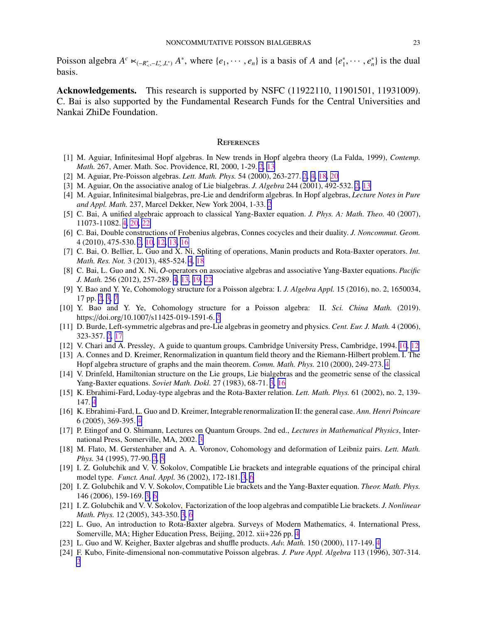<span id="page-22-0"></span>Poisson algebra  $A^c \lt \left(-R^*_{\leq} - L^*_{\leq} L^*\right) A^*$ , where  $\{e_1, \dots, e_n\}$  is a basis of *A* and  $\{e_1^*\}$  $\{e_1^*, \cdots, e_n^*\}$  is the dual basis.

Acknowledgements. This research is supported by NSFC (11922110, 11901501, 11931009). C. Bai is also supported by the Fundamental Research Funds for the Central Universities and Nankai ZhiDe Foundation.

### **REFERENCES**

- [1] M. Aguiar, Infinitesimal Hopf algebras. In New trends in Hopf algebra theory (La Falda, 1999), *Contemp. Math.* 267, Amer. Math. Soc. Providence, RI, 2000, 1-29. [2](#page-1-0), [13](#page-12-0)
- [2] M. Aguiar, Pre-Poisson algebras. *Lett. Math. Phys.* 54 (2000), 263-277. [2,](#page-1-0) [4,](#page-3-0) [18,](#page-17-0) [20](#page-19-0)
- [3] M. Aguiar, On the associative analog of Lie bialgebras. *J. Algebra* 244 (2001), 492-532. [2,](#page-1-0) [13](#page-12-0)
- [4] M. Aguiar, Infinitesimal bialgebras, pre-Lie and dendriform algebras. In Hopf algebras, *Lecture Notes in Pure and Appl. Math.* 237, Marcel Dekker, New York 2004, 1-33. [2](#page-1-0)
- [5] C. Bai, A unified algebraic approach to classical Yang-Baxter equation. *J. Phys. A: Math. Theo.* 40 (2007), 11073-11082. [4,](#page-3-0) [20,](#page-19-0) [22](#page-21-0)
- [6] C. Bai, Double constructions of Frobenius algebras, Connes cocycles and their duality. *J. Noncommut. Geom.* 4 (2010), 475-530. [2,](#page-1-0) [10,](#page-9-0) [12,](#page-11-0) [13,](#page-12-0) [16](#page-15-0)
- [7] C. Bai, O. Bellier, L. Guo and X. Ni, Spliting of operations, Manin products and Rota-Baxter operators. *Int. Math. Res. Not.* 3 (2013), 485-524. [4](#page-3-0), [18](#page-17-0)
- [8] C. Bai, L. Guo and X. Ni, O-operators on associative algebras and associative Yang-Baxter equations. *Pacific J. Math.* 256 (2012), 257-289. [4,](#page-3-0) [13,](#page-12-0) [19,](#page-18-0) [22](#page-21-0)
- [9] Y. Bao and Y. Ye, Cohomology structure for a Poisson algebra: I. *J. Algebra Appl.* 15 (2016), no. 2, 1650034, 17 pp. [2,](#page-1-0) [3,](#page-2-0) [7](#page-6-0)
- [10] Y. Bao and Y. Ye, Cohomology structure for a Poisson algebra: II. *Sci. China Math.* (2019). https://doi.org/10.1007/s11425-019-1591-6. [2](#page-1-0)
- [11] D. Burde, Left-symmetric algebras and pre-Lie algebras in geometry and physics. *Cent. Eur. J. Math.* 4 (2006), 323-357. [2,](#page-1-0) [17](#page-16-0)
- [12] V. Chari and A. Pressley, A guide to quantum groups. Cambridge University Press, Cambridge, 1994. [10](#page-9-0), [12](#page-11-0)
- [13] A. Connes and D. Kreimer, Renormalization in quantum field theory and the Riemann-Hilbert problem. I. The Hopf algebra structure of graphs and the main theorem. *Comm. Math. Phys.* 210 (2000), 249-273. [4](#page-3-0)
- [14] V. Drinfeld, Hamiltonian structure on the Lie groups, Lie bialgebras and the geometric sense of the classical Yang-Baxter equations. *Soviet Math. Dokl.* 27 (1983), 68-71. [3,](#page-2-0) [16](#page-15-0)
- [15] K. Ebrahimi-Fard, Loday-type algebras and the Rota-Baxter relation. *Lett. Math. Phys.* 61 (2002), no. 2, 139- 147. [4](#page-3-0)
- [16] K. Ebrahimi-Fard, L. Guo and D. Kreimer, Integrable renormalization II: the general case. *Ann. Henri Poincare* 6 (2005), 369-395. [4](#page-3-0)
- [17] P. Etingof and O. Shimann, Lectures on Quantum Groups. 2nd ed., *Lectures in Mathematical Physics*, International Press, Somerville, MA, 2002. [3](#page-2-0)
- [18] M. Flato, M. Gerstenhaber and A. A. Voronov, Cohomology and deformation of Leibniz pairs. *Lett. Math. Phys.* 34 (1995), 77-90. [2](#page-1-0), [5](#page-4-0)
- [19] I. Z. Golubchik and V. V. Sokolov, Compatible Lie brackets and integrable equations of the principal chiral model type. *Funct. Anal. Appl.* 36 (2002), 172-181. [3](#page-2-0), [6](#page-5-0)
- [20] I. Z. Golubchik and V. V. Sokolov, Compatible Lie brackets and the Yang-Baxter equation. *Theor. Math. Phys.* 146 (2006), 159-169. [3,](#page-2-0) [6](#page-5-0)
- [21] I. Z. Golubchik and V. V. Sokolov, Factorization of the loop algebras and compatible Lie brackets. *J. Nonlinear Math. Phys.* 12 (2005), 343-350. [3](#page-2-0), [6](#page-5-0)
- [22] L. Guo, An introduction to Rota-Baxter algebra. Surveys of Modern Mathematics, 4. International Press, Somerville, MA; Higher Education Press, Beijing, 2012. xii+226 pp. [4](#page-3-0)
- [23] L. Guo and W. Keigher, Baxter algebras and shuffle products. *Adv. Math.* 150 (2000), 117-149. [4](#page-3-0)
- [24] F. Kubo, Finite-dimensional non-commutative Poisson algebras. *J. Pure Appl. Algebra* 113 (1996), 307-314. [2](#page-1-0)